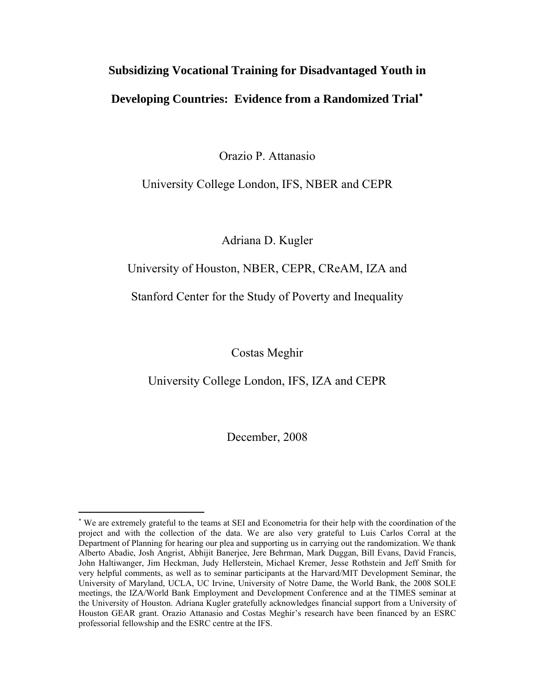# **Subsidizing Vocational Training for Disadvantaged Youth in Developing Countries: Evidence from a Randomized Trial**[∗](#page-0-0)

Orazio P. Attanasio

# University College London, IFS, NBER and CEPR

Adriana D. Kugler

# University of Houston, NBER, CEPR, CReAM, IZA and

# Stanford Center for the Study of Poverty and Inequality

Costas Meghir

University College London, IFS, IZA and CEPR

December, 2008

<span id="page-0-0"></span><sup>∗</sup> We are extremely grateful to the teams at SEI and Econometria for their help with the coordination of the project and with the collection of the data. We are also very grateful to Luis Carlos Corral at the Department of Planning for hearing our plea and supporting us in carrying out the randomization. We thank Alberto Abadie, Josh Angrist, Abhijit Banerjee, Jere Behrman, Mark Duggan, Bill Evans, David Francis, John Haltiwanger, Jim Heckman, Judy Hellerstein, Michael Kremer, Jesse Rothstein and Jeff Smith for very helpful comments, as well as to seminar participants at the Harvard/MIT Development Seminar, the University of Maryland, UCLA, UC Irvine, University of Notre Dame, the World Bank, the 2008 SOLE meetings, the IZA/World Bank Employment and Development Conference and at the TIMES seminar at the University of Houston. Adriana Kugler gratefully acknowledges financial support from a University of Houston GEAR grant. Orazio Attanasio and Costas Meghir's research have been financed by an ESRC professorial fellowship and the ESRC centre at the IFS.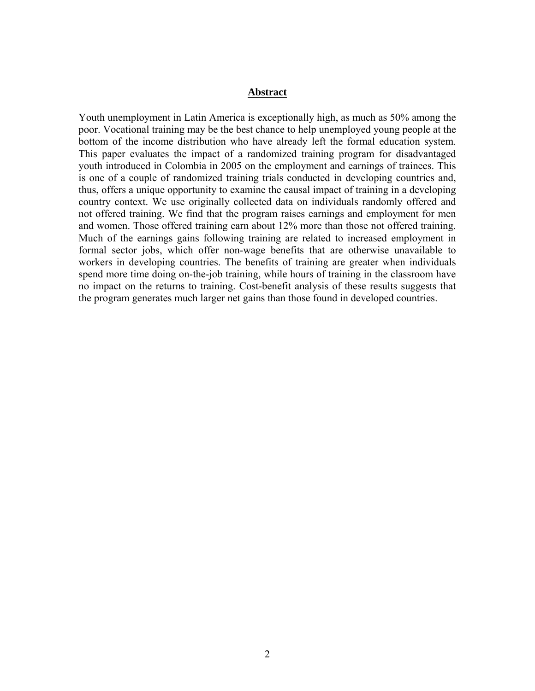#### **Abstract**

Youth unemployment in Latin America is exceptionally high, as much as 50% among the poor. Vocational training may be the best chance to help unemployed young people at the bottom of the income distribution who have already left the formal education system. This paper evaluates the impact of a randomized training program for disadvantaged youth introduced in Colombia in 2005 on the employment and earnings of trainees. This is one of a couple of randomized training trials conducted in developing countries and, thus, offers a unique opportunity to examine the causal impact of training in a developing country context. We use originally collected data on individuals randomly offered and not offered training. We find that the program raises earnings and employment for men and women. Those offered training earn about 12% more than those not offered training. Much of the earnings gains following training are related to increased employment in formal sector jobs, which offer non-wage benefits that are otherwise unavailable to workers in developing countries. The benefits of training are greater when individuals spend more time doing on-the-job training, while hours of training in the classroom have no impact on the returns to training. Cost-benefit analysis of these results suggests that the program generates much larger net gains than those found in developed countries.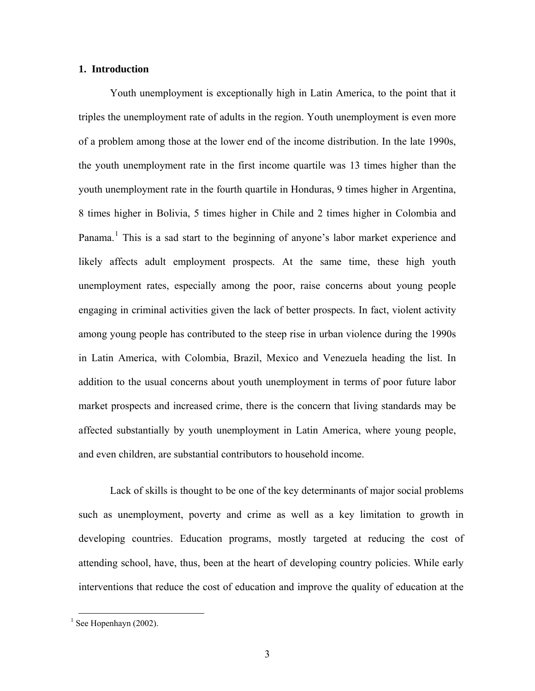#### **1. Introduction**

Youth unemployment is exceptionally high in Latin America, to the point that it triples the unemployment rate of adults in the region. Youth unemployment is even more of a problem among those at the lower end of the income distribution. In the late 1990s, the youth unemployment rate in the first income quartile was 13 times higher than the youth unemployment rate in the fourth quartile in Honduras, 9 times higher in Argentina, 8 times higher in Bolivia, 5 times higher in Chile and 2 times higher in Colombia and Panama.<sup>[1](#page-2-0)</sup> This is a sad start to the beginning of anyone's labor market experience and likely affects adult employment prospects. At the same time, these high youth unemployment rates, especially among the poor, raise concerns about young people engaging in criminal activities given the lack of better prospects. In fact, violent activity among young people has contributed to the steep rise in urban violence during the 1990s in Latin America, with Colombia, Brazil, Mexico and Venezuela heading the list. In addition to the usual concerns about youth unemployment in terms of poor future labor market prospects and increased crime, there is the concern that living standards may be affected substantially by youth unemployment in Latin America, where young people, and even children, are substantial contributors to household income.

Lack of skills is thought to be one of the key determinants of major social problems such as unemployment, poverty and crime as well as a key limitation to growth in developing countries. Education programs, mostly targeted at reducing the cost of attending school, have, thus, been at the heart of developing country policies. While early interventions that reduce the cost of education and improve the quality of education at the

<span id="page-2-0"></span> $\frac{1}{1}$  See Hopenhayn (2002).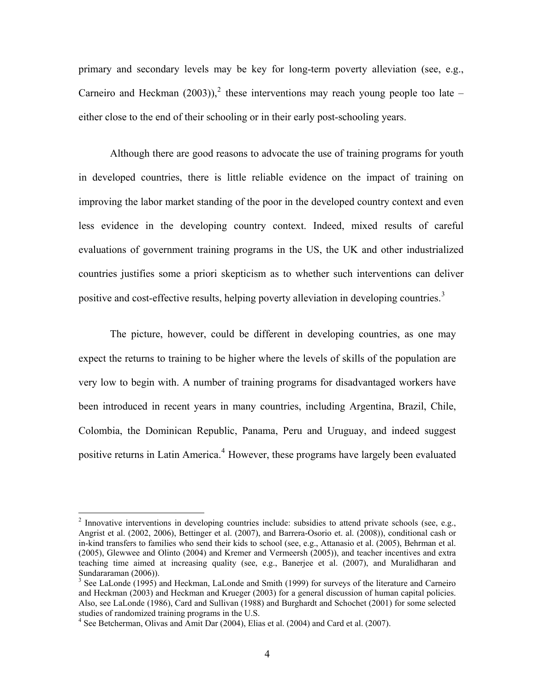primary and secondary levels may be key for long-term poverty alleviation (see, e.g., Carneiro and Heckman ([2](#page-3-0)003)),<sup>2</sup> these interventions may reach young people too late – either close to the end of their schooling or in their early post-schooling years.

Although there are good reasons to advocate the use of training programs for youth in developed countries, there is little reliable evidence on the impact of training on improving the labor market standing of the poor in the developed country context and even less evidence in the developing country context. Indeed, mixed results of careful evaluations of government training programs in the US, the UK and other industrialized countries justifies some a priori skepticism as to whether such interventions can deliver positive and cost-effective results, helping poverty alleviation in developing countries.<sup>[3](#page-3-1)</sup>

The picture, however, could be different in developing countries, as one may expect the returns to training to be higher where the levels of skills of the population are very low to begin with. A number of training programs for disadvantaged workers have been introduced in recent years in many countries, including Argentina, Brazil, Chile, Colombia, the Dominican Republic, Panama, Peru and Uruguay, and indeed suggest positive returns in Latin America.<sup>[4](#page-3-2)</sup> However, these programs have largely been evaluated

<span id="page-3-0"></span> $2$  Innovative interventions in developing countries include: subsidies to attend private schools (see, e.g., Angrist et al. (2002, 2006), Bettinger et al. (2007), and Barrera-Osorio et. al. (2008)), conditional cash or in-kind transfers to families who send their kids to school (see, e.g., Attanasio et al. (2005), Behrman et al. (2005), Glewwee and Olinto (2004) and Kremer and Vermeersh (2005)), and teacher incentives and extra teaching time aimed at increasing quality (see, e.g., Banerjee et al. (2007), and Muralidharan and Sundararaman (2006)).

<span id="page-3-1"></span><sup>&</sup>lt;sup>3</sup> See LaLonde (1995) and Heckman, LaLonde and Smith (1999) for surveys of the literature and Carneiro and Heckman (2003) and Heckman and Krueger (2003) for a general discussion of human capital policies. Also, see LaLonde (1986), Card and Sullivan (1988) and Burghardt and Schochet (2001) for some selected studies of randomized training programs in the U.S.

<span id="page-3-2"></span><sup>&</sup>lt;sup>4</sup> See Betcherman, Olivas and Amit Dar (2004), Elias et al. (2004) and Card et al. (2007).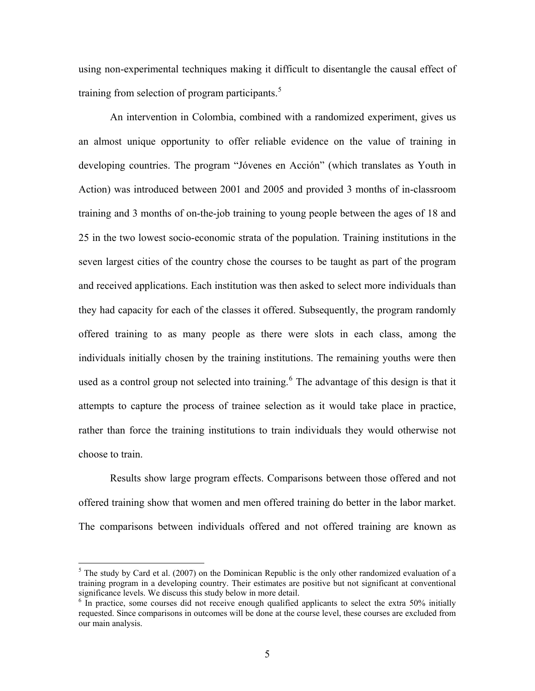using non-experimental techniques making it difficult to disentangle the causal effect of training from selection of program participants.<sup>[5](#page-4-0)</sup>

An intervention in Colombia, combined with a randomized experiment, gives us an almost unique opportunity to offer reliable evidence on the value of training in developing countries. The program "Jóvenes en Acción" (which translates as Youth in Action) was introduced between 2001 and 2005 and provided 3 months of in-classroom training and 3 months of on-the-job training to young people between the ages of 18 and 25 in the two lowest socio-economic strata of the population. Training institutions in the seven largest cities of the country chose the courses to be taught as part of the program and received applications. Each institution was then asked to select more individuals than they had capacity for each of the classes it offered. Subsequently, the program randomly offered training to as many people as there were slots in each class, among the individuals initially chosen by the training institutions. The remaining youths were then used as a control group not selected into training.<sup>[6](#page-4-1)</sup> The advantage of this design is that it attempts to capture the process of trainee selection as it would take place in practice, rather than force the training institutions to train individuals they would otherwise not choose to train.

Results show large program effects. Comparisons between those offered and not offered training show that women and men offered training do better in the labor market. The comparisons between individuals offered and not offered training are known as

<span id="page-4-0"></span> $<sup>5</sup>$  The study by Card et al. (2007) on the Dominican Republic is the only other randomized evaluation of a</sup> training program in a developing country. Their estimates are positive but not significant at conventional significance levels. We discuss this study below in more detail.

<span id="page-4-1"></span><sup>&</sup>lt;sup>6</sup> In practice, some courses did not receive enough qualified applicants to select the extra 50% initially requested. Since comparisons in outcomes will be done at the course level, these courses are excluded from our main analysis.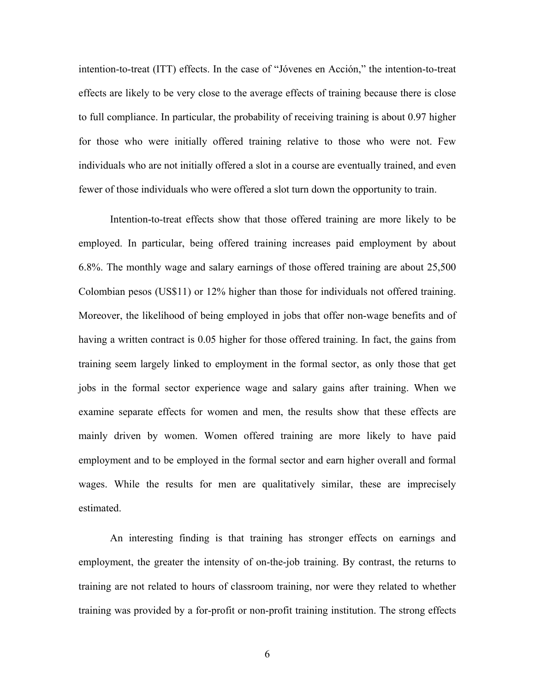intention-to-treat (ITT) effects. In the case of "Jóvenes en Acción," the intention-to-treat effects are likely to be very close to the average effects of training because there is close to full compliance. In particular, the probability of receiving training is about 0.97 higher for those who were initially offered training relative to those who were not. Few individuals who are not initially offered a slot in a course are eventually trained, and even fewer of those individuals who were offered a slot turn down the opportunity to train.

Intention-to-treat effects show that those offered training are more likely to be employed. In particular, being offered training increases paid employment by about 6.8%. The monthly wage and salary earnings of those offered training are about 25,500 Colombian pesos (US\$11) or 12% higher than those for individuals not offered training. Moreover, the likelihood of being employed in jobs that offer non-wage benefits and of having a written contract is 0.05 higher for those offered training. In fact, the gains from training seem largely linked to employment in the formal sector, as only those that get jobs in the formal sector experience wage and salary gains after training. When we examine separate effects for women and men, the results show that these effects are mainly driven by women. Women offered training are more likely to have paid employment and to be employed in the formal sector and earn higher overall and formal wages. While the results for men are qualitatively similar, these are imprecisely estimated.

An interesting finding is that training has stronger effects on earnings and employment, the greater the intensity of on-the-job training. By contrast, the returns to training are not related to hours of classroom training, nor were they related to whether training was provided by a for-profit or non-profit training institution. The strong effects

6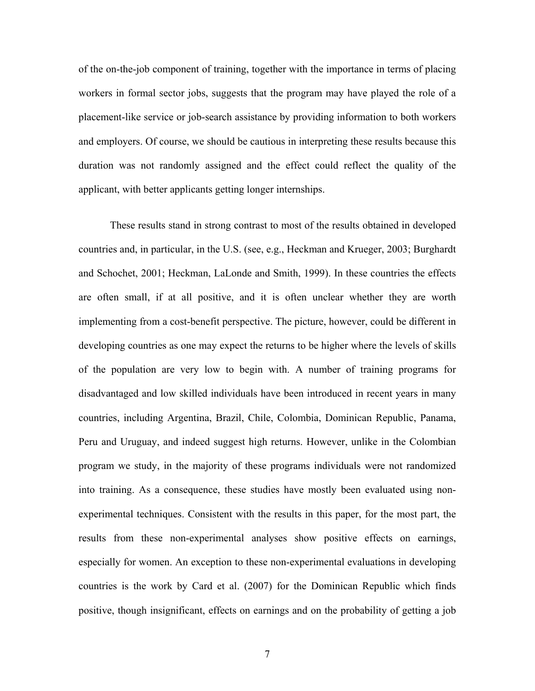of the on-the-job component of training, together with the importance in terms of placing workers in formal sector jobs, suggests that the program may have played the role of a placement-like service or job-search assistance by providing information to both workers and employers. Of course, we should be cautious in interpreting these results because this duration was not randomly assigned and the effect could reflect the quality of the applicant, with better applicants getting longer internships.

These results stand in strong contrast to most of the results obtained in developed countries and, in particular, in the U.S. (see, e.g., Heckman and Krueger, 2003; Burghardt and Schochet, 2001; Heckman, LaLonde and Smith, 1999). In these countries the effects are often small, if at all positive, and it is often unclear whether they are worth implementing from a cost-benefit perspective. The picture, however, could be different in developing countries as one may expect the returns to be higher where the levels of skills of the population are very low to begin with. A number of training programs for disadvantaged and low skilled individuals have been introduced in recent years in many countries, including Argentina, Brazil, Chile, Colombia, Dominican Republic, Panama, Peru and Uruguay, and indeed suggest high returns. However, unlike in the Colombian program we study, in the majority of these programs individuals were not randomized into training. As a consequence, these studies have mostly been evaluated using nonexperimental techniques. Consistent with the results in this paper, for the most part, the results from these non-experimental analyses show positive effects on earnings, especially for women. An exception to these non-experimental evaluations in developing countries is the work by Card et al. (2007) for the Dominican Republic which finds positive, though insignificant, effects on earnings and on the probability of getting a job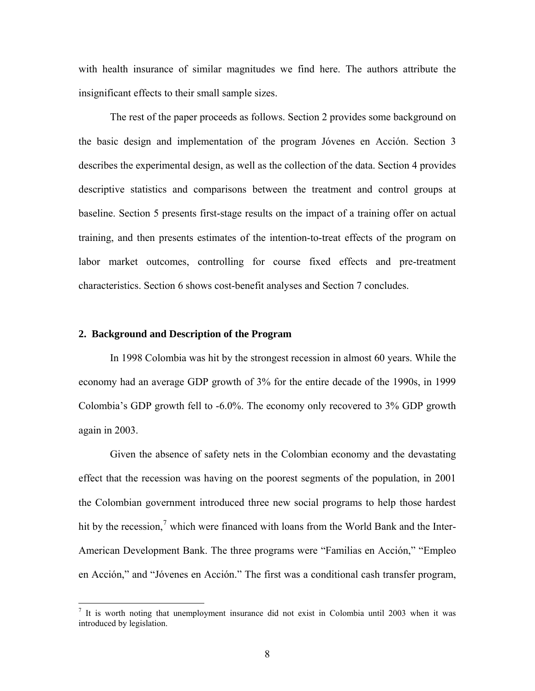with health insurance of similar magnitudes we find here. The authors attribute the insignificant effects to their small sample sizes.

The rest of the paper proceeds as follows. Section 2 provides some background on the basic design and implementation of the program Jóvenes en Acción. Section 3 describes the experimental design, as well as the collection of the data. Section 4 provides descriptive statistics and comparisons between the treatment and control groups at baseline. Section 5 presents first-stage results on the impact of a training offer on actual training, and then presents estimates of the intention-to-treat effects of the program on labor market outcomes, controlling for course fixed effects and pre-treatment characteristics. Section 6 shows cost-benefit analyses and Section 7 concludes.

#### **2. Background and Description of the Program**

In 1998 Colombia was hit by the strongest recession in almost 60 years. While the economy had an average GDP growth of 3% for the entire decade of the 1990s, in 1999 Colombia's GDP growth fell to -6.0%. The economy only recovered to 3% GDP growth again in 2003.

Given the absence of safety nets in the Colombian economy and the devastating effect that the recession was having on the poorest segments of the population, in 2001 the Colombian government introduced three new social programs to help those hardest hit by the recession,<sup>[7](#page-7-0)</sup> which were financed with loans from the World Bank and the Inter-American Development Bank. The three programs were "Familias en Acción," "Empleo en Acción," and "Jóvenes en Acción." The first was a conditional cash transfer program,

<span id="page-7-0"></span><sup>&</sup>lt;sup>7</sup> It is worth noting that unemployment insurance did not exist in Colombia until 2003 when it was introduced by legislation.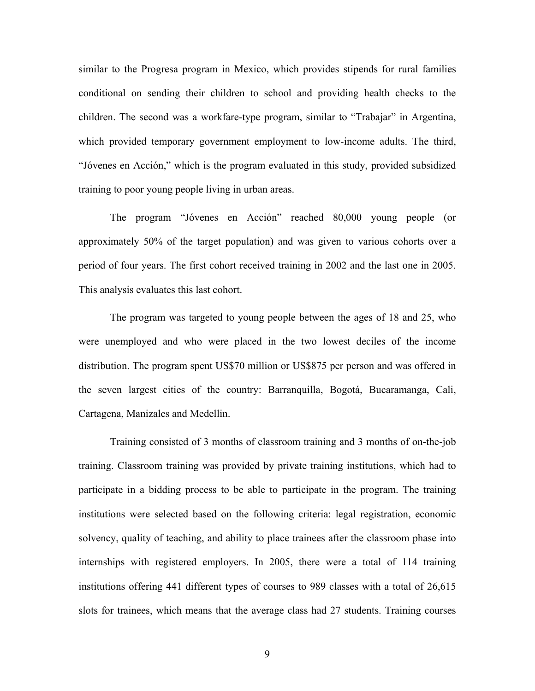similar to the Progresa program in Mexico, which provides stipends for rural families conditional on sending their children to school and providing health checks to the children. The second was a workfare-type program, similar to "Trabajar" in Argentina, which provided temporary government employment to low-income adults. The third, "Jóvenes en Acción," which is the program evaluated in this study, provided subsidized training to poor young people living in urban areas.

The program "Jóvenes en Acción" reached 80,000 young people (or approximately 50% of the target population) and was given to various cohorts over a period of four years. The first cohort received training in 2002 and the last one in 2005. This analysis evaluates this last cohort.

The program was targeted to young people between the ages of 18 and 25, who were unemployed and who were placed in the two lowest deciles of the income distribution. The program spent US\$70 million or US\$875 per person and was offered in the seven largest cities of the country: Barranquilla, Bogotá, Bucaramanga, Cali, Cartagena, Manizales and Medellin.

Training consisted of 3 months of classroom training and 3 months of on-the-job training. Classroom training was provided by private training institutions, which had to participate in a bidding process to be able to participate in the program. The training institutions were selected based on the following criteria: legal registration, economic solvency, quality of teaching, and ability to place trainees after the classroom phase into internships with registered employers. In 2005, there were a total of 114 training institutions offering 441 different types of courses to 989 classes with a total of 26,615 slots for trainees, which means that the average class had 27 students. Training courses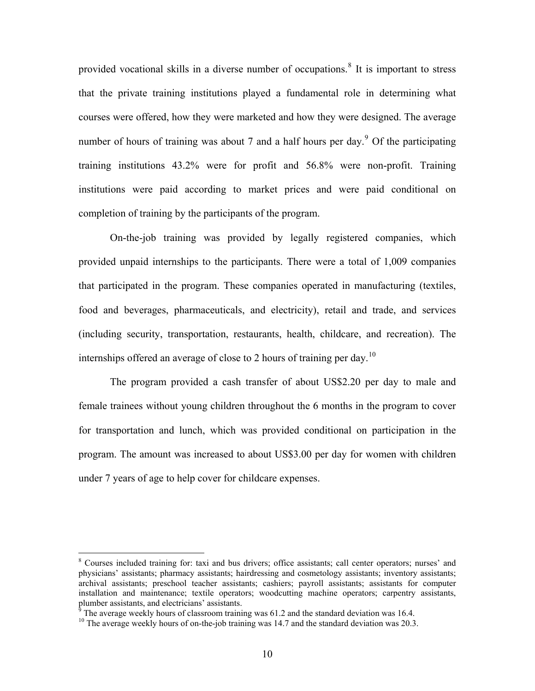provided vocational skills in a diverse number of occupations.<sup>[8](#page-9-0)</sup> It is important to stress that the private training institutions played a fundamental role in determining what courses were offered, how they were marketed and how they were designed. The average number of hours of training was about 7 and a half hours per day.<sup>[9](#page-9-1)</sup> Of the participating training institutions 43.2% were for profit and 56.8% were non-profit. Training institutions were paid according to market prices and were paid conditional on completion of training by the participants of the program.

On-the-job training was provided by legally registered companies, which provided unpaid internships to the participants. There were a total of 1,009 companies that participated in the program. These companies operated in manufacturing (textiles, food and beverages, pharmaceuticals, and electricity), retail and trade, and services (including security, transportation, restaurants, health, childcare, and recreation). The internships offered an average of close to 2 hours of training per day.<sup>[10](#page-9-2)</sup>

The program provided a cash transfer of about US\$2.20 per day to male and female trainees without young children throughout the 6 months in the program to cover for transportation and lunch, which was provided conditional on participation in the program. The amount was increased to about US\$3.00 per day for women with children under 7 years of age to help cover for childcare expenses.

<span id="page-9-0"></span><sup>&</sup>lt;sup>8</sup> Courses included training for: taxi and bus drivers; office assistants; call center operators; nurses' and physicians' assistants; pharmacy assistants; hairdressing and cosmetology assistants; inventory assistants; archival assistants; preschool teacher assistants; cashiers; payroll assistants; assistants for computer installation and maintenance; textile operators; woodcutting machine operators; carpentry assistants,

The average weekly hours of classroom training was 61.2 and the standard deviation was 16.4.

<span id="page-9-2"></span><span id="page-9-1"></span><sup>&</sup>lt;sup>10</sup> The average weekly hours of on-the-job training was 14.7 and the standard deviation was 20.3.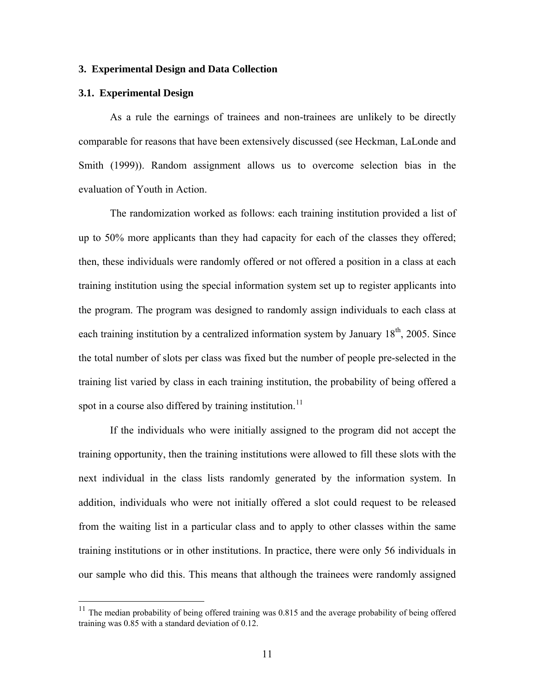#### **3. Experimental Design and Data Collection**

#### **3.1. Experimental Design**

 $\overline{a}$ 

As a rule the earnings of trainees and non-trainees are unlikely to be directly comparable for reasons that have been extensively discussed (see Heckman, LaLonde and Smith (1999)). Random assignment allows us to overcome selection bias in the evaluation of Youth in Action.

The randomization worked as follows: each training institution provided a list of up to 50% more applicants than they had capacity for each of the classes they offered; then, these individuals were randomly offered or not offered a position in a class at each training institution using the special information system set up to register applicants into the program. The program was designed to randomly assign individuals to each class at each training institution by a centralized information system by January  $18<sup>th</sup>$ , 2005. Since the total number of slots per class was fixed but the number of people pre-selected in the training list varied by class in each training institution, the probability of being offered a spot in a course also differed by training institution.<sup>[11](#page-10-0)</sup>

If the individuals who were initially assigned to the program did not accept the training opportunity, then the training institutions were allowed to fill these slots with the next individual in the class lists randomly generated by the information system. In addition, individuals who were not initially offered a slot could request to be released from the waiting list in a particular class and to apply to other classes within the same training institutions or in other institutions. In practice, there were only 56 individuals in our sample who did this. This means that although the trainees were randomly assigned

<span id="page-10-0"></span> $11$  The median probability of being offered training was 0.815 and the average probability of being offered training was 0.85 with a standard deviation of 0.12.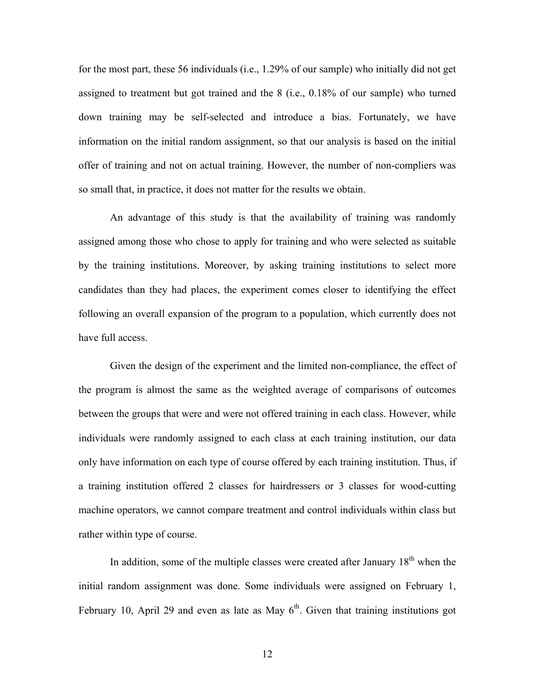for the most part, these 56 individuals (i.e., 1.29% of our sample) who initially did not get assigned to treatment but got trained and the 8 (i.e., 0.18% of our sample) who turned down training may be self-selected and introduce a bias. Fortunately, we have information on the initial random assignment, so that our analysis is based on the initial offer of training and not on actual training. However, the number of non-compliers was so small that, in practice, it does not matter for the results we obtain.

An advantage of this study is that the availability of training was randomly assigned among those who chose to apply for training and who were selected as suitable by the training institutions. Moreover, by asking training institutions to select more candidates than they had places, the experiment comes closer to identifying the effect following an overall expansion of the program to a population, which currently does not have full access.

Given the design of the experiment and the limited non-compliance, the effect of the program is almost the same as the weighted average of comparisons of outcomes between the groups that were and were not offered training in each class. However, while individuals were randomly assigned to each class at each training institution, our data only have information on each type of course offered by each training institution. Thus, if a training institution offered 2 classes for hairdressers or 3 classes for wood-cutting machine operators, we cannot compare treatment and control individuals within class but rather within type of course.

In addition, some of the multiple classes were created after January  $18<sup>th</sup>$  when the initial random assignment was done. Some individuals were assigned on February 1, February 10, April 29 and even as late as May  $6<sup>th</sup>$ . Given that training institutions got

12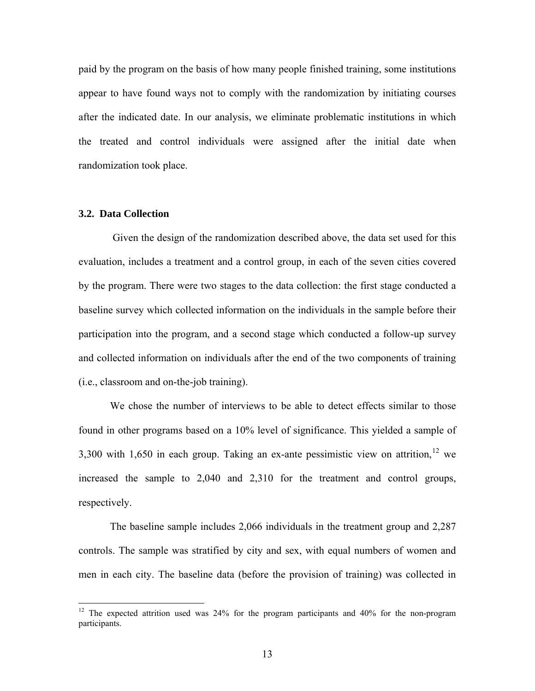paid by the program on the basis of how many people finished training, some institutions appear to have found ways not to comply with the randomization by initiating courses after the indicated date. In our analysis, we eliminate problematic institutions in which the treated and control individuals were assigned after the initial date when randomization took place.

#### **3.2. Data Collection**

 $\overline{a}$ 

 Given the design of the randomization described above, the data set used for this evaluation, includes a treatment and a control group, in each of the seven cities covered by the program. There were two stages to the data collection: the first stage conducted a baseline survey which collected information on the individuals in the sample before their participation into the program, and a second stage which conducted a follow-up survey and collected information on individuals after the end of the two components of training (i.e., classroom and on-the-job training).

We chose the number of interviews to be able to detect effects similar to those found in other programs based on a 10% level of significance. This yielded a sample of 3,300 with 1,650 in each group. Taking an ex-ante pessimistic view on attrition,  $12$  we increased the sample to 2,040 and 2,310 for the treatment and control groups, respectively.

The baseline sample includes 2,066 individuals in the treatment group and 2,287 controls. The sample was stratified by city and sex, with equal numbers of women and men in each city. The baseline data (before the provision of training) was collected in

<span id="page-12-0"></span><sup>&</sup>lt;sup>12</sup> The expected attrition used was  $24\%$  for the program participants and  $40\%$  for the non-program participants.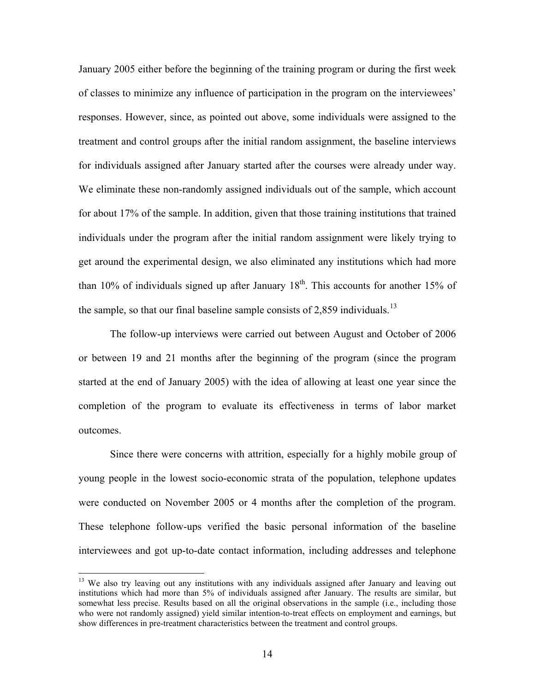January 2005 either before the beginning of the training program or during the first week of classes to minimize any influence of participation in the program on the interviewees' responses. However, since, as pointed out above, some individuals were assigned to the treatment and control groups after the initial random assignment, the baseline interviews for individuals assigned after January started after the courses were already under way. We eliminate these non-randomly assigned individuals out of the sample, which account for about 17% of the sample. In addition, given that those training institutions that trained individuals under the program after the initial random assignment were likely trying to get around the experimental design, we also eliminated any institutions which had more than 10% of individuals signed up after January  $18<sup>th</sup>$ . This accounts for another 15% of the sample, so that our final baseline sample consists of 2,859 individuals.<sup>[13](#page-13-0)</sup>

The follow-up interviews were carried out between August and October of 2006 or between 19 and 21 months after the beginning of the program (since the program started at the end of January 2005) with the idea of allowing at least one year since the completion of the program to evaluate its effectiveness in terms of labor market outcomes.

Since there were concerns with attrition, especially for a highly mobile group of young people in the lowest socio-economic strata of the population, telephone updates were conducted on November 2005 or 4 months after the completion of the program. These telephone follow-ups verified the basic personal information of the baseline interviewees and got up-to-date contact information, including addresses and telephone

<span id="page-13-0"></span><sup>&</sup>lt;sup>13</sup> We also try leaving out any institutions with any individuals assigned after January and leaving out institutions which had more than 5% of individuals assigned after January. The results are similar, but somewhat less precise. Results based on all the original observations in the sample (i.e., including those who were not randomly assigned) yield similar intention-to-treat effects on employment and earnings, but show differences in pre-treatment characteristics between the treatment and control groups.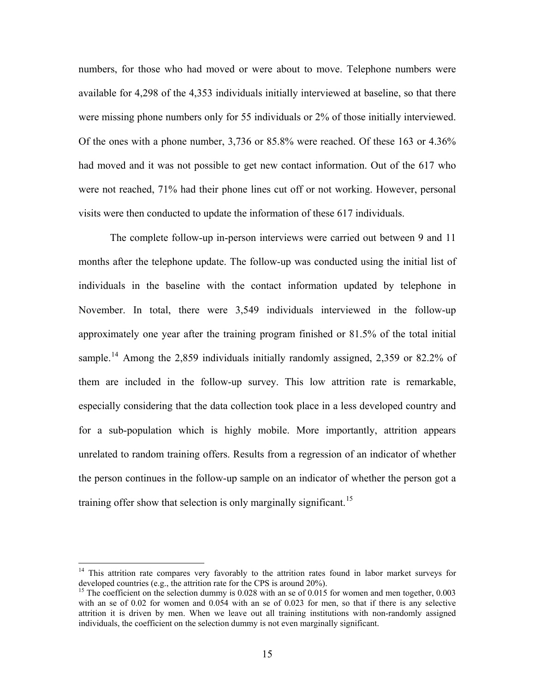numbers, for those who had moved or were about to move. Telephone numbers were available for 4,298 of the 4,353 individuals initially interviewed at baseline, so that there were missing phone numbers only for 55 individuals or 2% of those initially interviewed. Of the ones with a phone number, 3,736 or 85.8% were reached. Of these 163 or 4.36% had moved and it was not possible to get new contact information. Out of the 617 who were not reached, 71% had their phone lines cut off or not working. However, personal visits were then conducted to update the information of these 617 individuals.

The complete follow-up in-person interviews were carried out between 9 and 11 months after the telephone update. The follow-up was conducted using the initial list of individuals in the baseline with the contact information updated by telephone in November. In total, there were 3,549 individuals interviewed in the follow-up approximately one year after the training program finished or 81.5% of the total initial sample.<sup>[14](#page-14-0)</sup> Among the 2,859 individuals initially randomly assigned, 2,359 or 82.2% of them are included in the follow-up survey. This low attrition rate is remarkable, especially considering that the data collection took place in a less developed country and for a sub-population which is highly mobile. More importantly, attrition appears unrelated to random training offers. Results from a regression of an indicator of whether the person continues in the follow-up sample on an indicator of whether the person got a training offer show that selection is only marginally significant.<sup>[15](#page-14-1)</sup>

<span id="page-14-0"></span><sup>&</sup>lt;sup>14</sup> This attrition rate compares very favorably to the attrition rates found in labor market surveys for developed countries (e.g., the attrition rate for the CPS is around  $20\%$ ).

<span id="page-14-1"></span><sup>&</sup>lt;sup>15</sup> The coefficient on the selection dummy is 0.028 with an se of 0.015 for women and men together, 0.003 with an se of 0.02 for women and 0.054 with an se of 0.023 for men, so that if there is any selective attrition it is driven by men. When we leave out all training institutions with non-randomly assigned individuals, the coefficient on the selection dummy is not even marginally significant.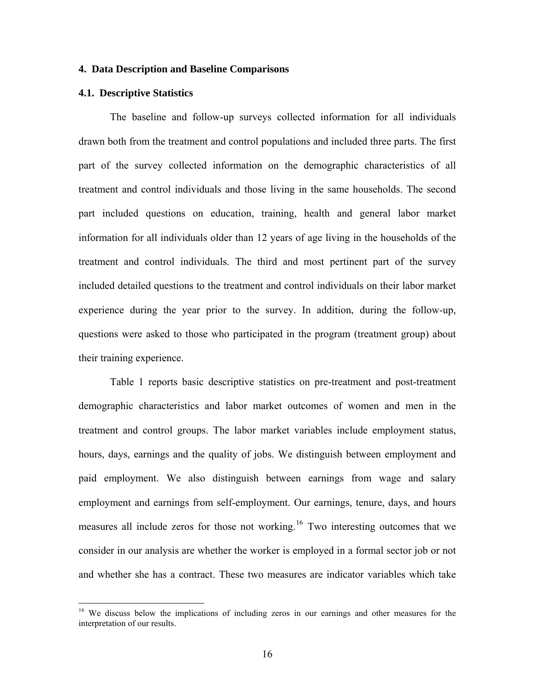#### **4. Data Description and Baseline Comparisons**

#### **4.1. Descriptive Statistics**

 $\overline{a}$ 

The baseline and follow-up surveys collected information for all individuals drawn both from the treatment and control populations and included three parts. The first part of the survey collected information on the demographic characteristics of all treatment and control individuals and those living in the same households. The second part included questions on education, training, health and general labor market information for all individuals older than 12 years of age living in the households of the treatment and control individuals. The third and most pertinent part of the survey included detailed questions to the treatment and control individuals on their labor market experience during the year prior to the survey. In addition, during the follow-up, questions were asked to those who participated in the program (treatment group) about their training experience.

Table 1 reports basic descriptive statistics on pre-treatment and post-treatment demographic characteristics and labor market outcomes of women and men in the treatment and control groups. The labor market variables include employment status, hours, days, earnings and the quality of jobs. We distinguish between employment and paid employment. We also distinguish between earnings from wage and salary employment and earnings from self-employment. Our earnings, tenure, days, and hours measures all include zeros for those not working.[16](#page-15-0) Two interesting outcomes that we consider in our analysis are whether the worker is employed in a formal sector job or not and whether she has a contract. These two measures are indicator variables which take

<span id="page-15-0"></span><sup>&</sup>lt;sup>16</sup> We discuss below the implications of including zeros in our earnings and other measures for the interpretation of our results.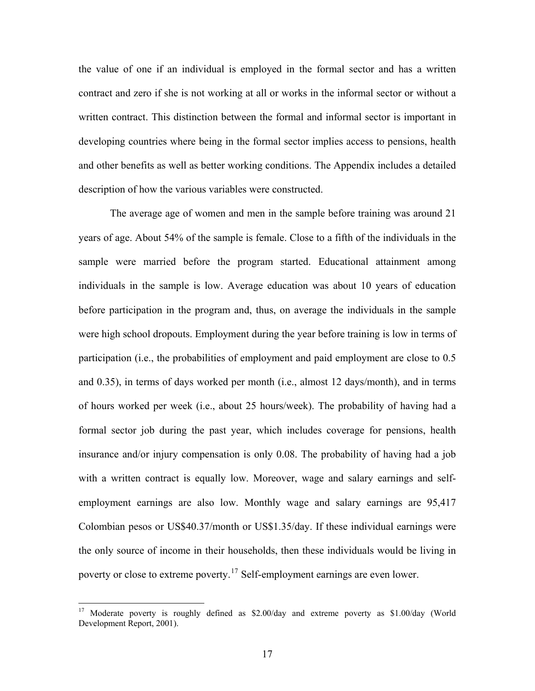the value of one if an individual is employed in the formal sector and has a written contract and zero if she is not working at all or works in the informal sector or without a written contract. This distinction between the formal and informal sector is important in developing countries where being in the formal sector implies access to pensions, health and other benefits as well as better working conditions. The Appendix includes a detailed description of how the various variables were constructed.

The average age of women and men in the sample before training was around 21 years of age. About 54% of the sample is female. Close to a fifth of the individuals in the sample were married before the program started. Educational attainment among individuals in the sample is low. Average education was about 10 years of education before participation in the program and, thus, on average the individuals in the sample were high school dropouts. Employment during the year before training is low in terms of participation (i.e., the probabilities of employment and paid employment are close to 0.5 and 0.35), in terms of days worked per month (i.e., almost 12 days/month), and in terms of hours worked per week (i.e., about 25 hours/week). The probability of having had a formal sector job during the past year, which includes coverage for pensions, health insurance and/or injury compensation is only 0.08. The probability of having had a job with a written contract is equally low. Moreover, wage and salary earnings and selfemployment earnings are also low. Monthly wage and salary earnings are 95,417 Colombian pesos or US\$40.37/month or US\$1.35/day. If these individual earnings were the only source of income in their households, then these individuals would be living in poverty or close to extreme poverty.<sup>[17](#page-16-0)</sup> Self-employment earnings are even lower.

<span id="page-16-0"></span> $17$ 17 Moderate poverty is roughly defined as \$2.00/day and extreme poverty as \$1.00/day (World Development Report, 2001).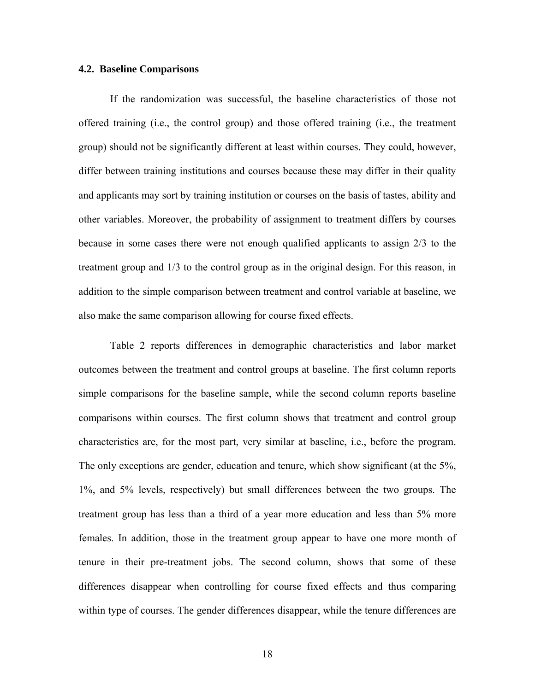#### **4.2. Baseline Comparisons**

If the randomization was successful, the baseline characteristics of those not offered training (i.e., the control group) and those offered training (i.e., the treatment group) should not be significantly different at least within courses. They could, however, differ between training institutions and courses because these may differ in their quality and applicants may sort by training institution or courses on the basis of tastes, ability and other variables. Moreover, the probability of assignment to treatment differs by courses because in some cases there were not enough qualified applicants to assign 2/3 to the treatment group and 1/3 to the control group as in the original design. For this reason, in addition to the simple comparison between treatment and control variable at baseline, we also make the same comparison allowing for course fixed effects.

Table 2 reports differences in demographic characteristics and labor market outcomes between the treatment and control groups at baseline. The first column reports simple comparisons for the baseline sample, while the second column reports baseline comparisons within courses. The first column shows that treatment and control group characteristics are, for the most part, very similar at baseline, i.e., before the program. The only exceptions are gender, education and tenure, which show significant (at the 5%, 1%, and 5% levels, respectively) but small differences between the two groups. The treatment group has less than a third of a year more education and less than 5% more females. In addition, those in the treatment group appear to have one more month of tenure in their pre-treatment jobs. The second column, shows that some of these differences disappear when controlling for course fixed effects and thus comparing within type of courses. The gender differences disappear, while the tenure differences are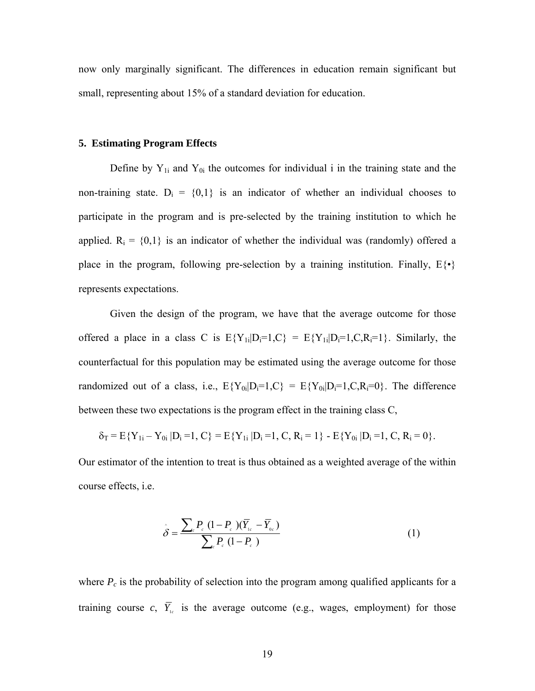now only marginally significant. The differences in education remain significant but small, representing about 15% of a standard deviation for education.

#### **5. Estimating Program Effects**

Define by  $Y_{1i}$  and  $Y_{0i}$  the outcomes for individual i in the training state and the non-training state.  $D_i = \{0,1\}$  is an indicator of whether an individual chooses to participate in the program and is pre-selected by the training institution to which he applied.  $R_i = \{0,1\}$  is an indicator of whether the individual was (randomly) offered a place in the program, following pre-selection by a training institution. Finally,  $E\{\cdot\}$ represents expectations.

Given the design of the program, we have that the average outcome for those offered a place in a class C is  $E{Y_{1i}|D_i=1,C} = E{Y_{1i}|D_i=1,C,R_i=1}$ . Similarly, the counterfactual for this population may be estimated using the average outcome for those randomized out of a class, i.e.,  $E{Y_{0i}|D_i=1,C} = E{Y_{0i}|D_i=1,C,R_i=0}$ . The difference between these two expectations is the program effect in the training class C,

$$
\delta_T = E\{Y_{1i} - Y_{0i} | D_i = 1, C\} = E\{Y_{1i} | D_i = 1, C, R_i = 1\} - E\{Y_{0i} | D_i = 1, C, R_i = 0\}.
$$

Our estimator of the intention to treat is thus obtained as a weighted average of the within course effects, i.e.

$$
\hat{\delta} = \frac{\sum_{c} P_{c} (1 - P_{c}) (\overline{Y}_{1c} - \overline{Y}_{0c})}{\sum_{c} P_{c} (1 - P_{c})}
$$
(1)

where  $P_c$  is the probability of selection into the program among qualified applicants for a training course  $c$ ,  $\overline{Y}_{1c}$  is the average outcome (e.g., wages, employment) for those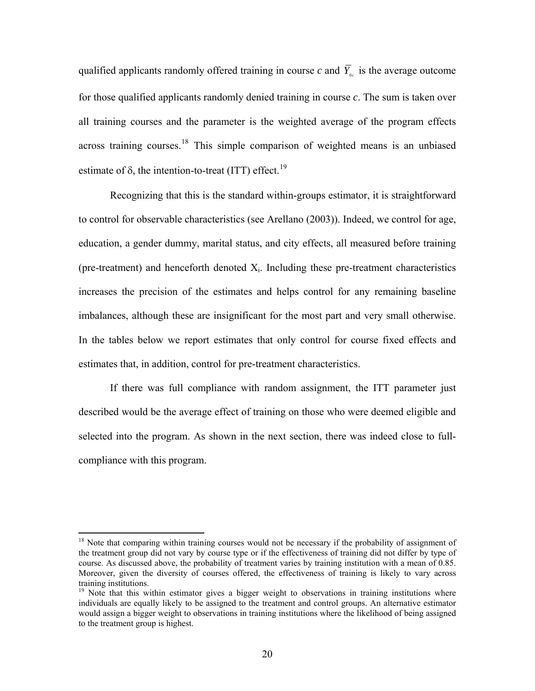qualified applicants randomly offered training in course *c* and  $\overline{Y}_{0c}$  is the average outcome for those qualified applicants randomly denied training in course *c*. The sum is taken over all training courses and the parameter is the weighted average of the program effects across training courses.[18](#page-19-0) This simple comparison of weighted means is an unbiased estimate of  $\delta$ , the intention-to-treat (ITT) effect.<sup>[19](#page-19-1)</sup>

Recognizing that this is the standard within-groups estimator, it is straightforward to control for observable characteristics (see Arellano (2003)). Indeed, we control for age, education, a gender dummy, marital status, and city effects, all measured before training (pre-treatment) and henceforth denoted  $X_i$ . Including these pre-treatment characteristics increases the precision of the estimates and helps control for any remaining baseline imbalances, although these are insignificant for the most part and very small otherwise. In the tables below we report estimates that only control for course fixed effects and estimates that, in addition, control for pre-treatment characteristics.

If there was full compliance with random assignment, the ITT parameter just described would be the average effect of training on those who were deemed eligible and selected into the program. As shown in the next section, there was indeed close to fullcompliance with this program.

<span id="page-19-0"></span><sup>&</sup>lt;sup>18</sup> Note that comparing within training courses would not be necessary if the probability of assignment of the treatment group did not vary by course type or if the effectiveness of training did not differ by type of course. As discussed above, the probability of treatment varies by training institution with a mean of 0.85. Moreover, given the diversity of courses offered, the effectiveness of training is likely to vary across training institutions.

<span id="page-19-1"></span> $19$  Note that this within estimator gives a bigger weight to observations in training institutions where individuals are equally likely to be assigned to the treatment and control groups. An alternative estimator would assign a bigger weight to observations in training institutions where the likelihood of being assigned to the treatment group is highest.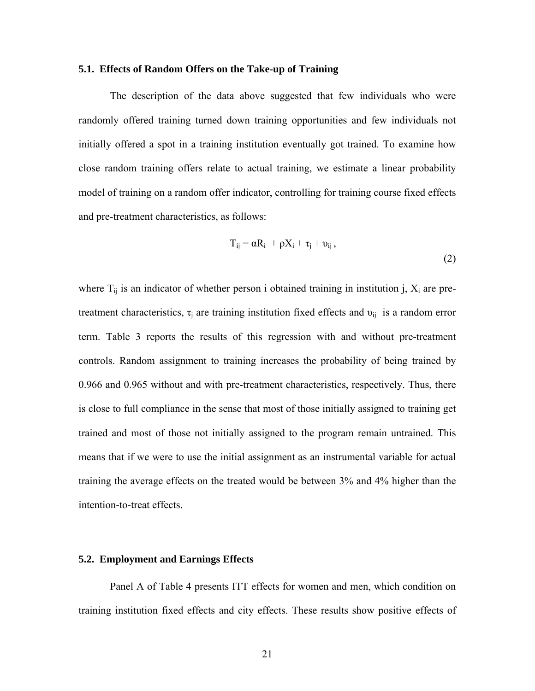#### **5.1. Effects of Random Offers on the Take-up of Training**

The description of the data above suggested that few individuals who were randomly offered training turned down training opportunities and few individuals not initially offered a spot in a training institution eventually got trained. To examine how close random training offers relate to actual training, we estimate a linear probability model of training on a random offer indicator, controlling for training course fixed effects and pre-treatment characteristics, as follows:

$$
T_{ij} = \alpha R_i + \rho X_i + \tau_j + \upsilon_{ij},
$$
\n(2)

where  $T_{ii}$  is an indicator of whether person i obtained training in institution j,  $X_i$  are pretreatment characteristics,  $\tau_i$  are training institution fixed effects and  $v_{ii}$  is a random error term. Table 3 reports the results of this regression with and without pre-treatment controls. Random assignment to training increases the probability of being trained by 0.966 and 0.965 without and with pre-treatment characteristics, respectively. Thus, there is close to full compliance in the sense that most of those initially assigned to training get trained and most of those not initially assigned to the program remain untrained. This means that if we were to use the initial assignment as an instrumental variable for actual training the average effects on the treated would be between 3% and 4% higher than the intention-to-treat effects.

#### **5.2. Employment and Earnings Effects**

Panel A of Table 4 presents ITT effects for women and men, which condition on training institution fixed effects and city effects. These results show positive effects of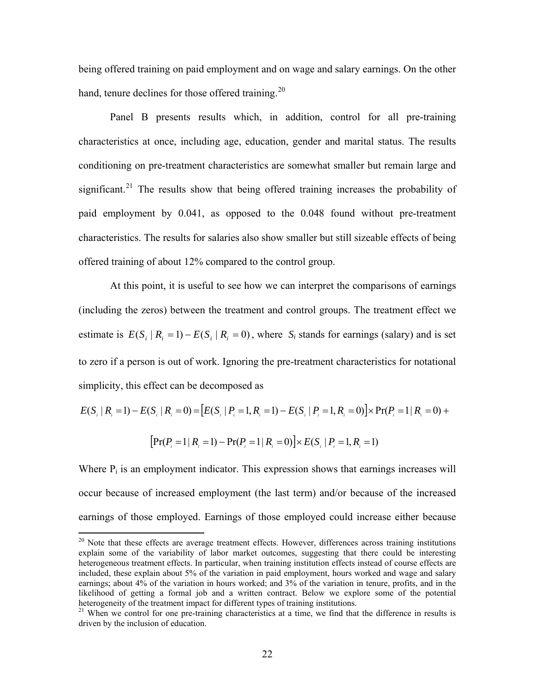being offered training on paid employment and on wage and salary earnings. On the other hand, tenure declines for those offered training.<sup>[20](#page-21-0)</sup>

Panel B presents results which, in addition, control for all pre-training characteristics at once, including age, education, gender and marital status. The results conditioning on pre-treatment characteristics are somewhat smaller but remain large and significant.<sup>[21](#page-21-1)</sup> The results show that being offered training increases the probability of paid employment by 0.041, as opposed to the 0.048 found without pre-treatment characteristics. The results for salaries also show smaller but still sizeable effects of being offered training of about 12% compared to the control group.

At this point, it is useful to see how we can interpret the comparisons of earnings (including the zeros) between the treatment and control groups. The treatment effect we estimate is  $E(S_i | R_i = 1) - E(S_i | R_i = 0)$ , where  $S_i$  stands for earnings (salary) and is set to zero if a person is out of work. Ignoring the pre-treatment characteristics for notational simplicity, this effect can be decomposed as

$$
E(S_i | R_i = 1) - E(S_i | R_i = 0) = [E(S_i | P_i = 1, R_i = 1) - E(S_i | P_i = 1, R_i = 0)] \times Pr(P_i = 1 | R_i = 0) +
$$

$$
[\Pr(P_i = 1 | R_i = 1) - \Pr(P_i = 1 | R_i = 0)] \times E(S_i | P_i = 1, R_i = 1)
$$

Where  $P_i$  is an employment indicator. This expression shows that earnings increases will occur because of increased employment (the last term) and/or because of the increased earnings of those employed. Earnings of those employed could increase either because

<span id="page-21-0"></span><sup>&</sup>lt;sup>20</sup> Note that these effects are average treatment effects. However, differences across training institutions explain some of the variability of labor market outcomes, suggesting that there could be interesting heterogeneous treatment effects. In particular, when training institution effects instead of course effects are included, these explain about 5% of the variation in paid employment, hours worked and wage and salary earnings; about 4% of the variation in hours worked; and 3% of the variation in tenure, profits, and in the likelihood of getting a formal job and a written contract. Below we explore some of the potential heterogeneity of the treatment impact for different types of training institutions.

<span id="page-21-1"></span><sup>&</sup>lt;sup>21</sup> When we control for one pre-training characteristics at a time, we find that the difference in results is driven by the inclusion of education.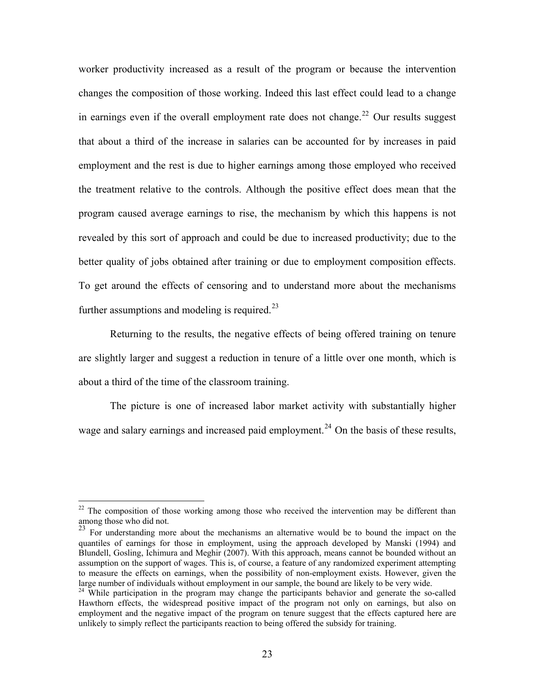worker productivity increased as a result of the program or because the intervention changes the composition of those working. Indeed this last effect could lead to a change in earnings even if the overall employment rate does not change.<sup>[22](#page-22-0)</sup> Our results suggest that about a third of the increase in salaries can be accounted for by increases in paid employment and the rest is due to higher earnings among those employed who received the treatment relative to the controls. Although the positive effect does mean that the program caused average earnings to rise, the mechanism by which this happens is not revealed by this sort of approach and could be due to increased productivity; due to the better quality of jobs obtained after training or due to employment composition effects. To get around the effects of censoring and to understand more about the mechanisms further assumptions and modeling is required.<sup>[23](#page-22-1)</sup>

Returning to the results, the negative effects of being offered training on tenure are slightly larger and suggest a reduction in tenure of a little over one month, which is about a third of the time of the classroom training.

The picture is one of increased labor market activity with substantially higher wage and salary earnings and increased paid employment.<sup>[24](#page-22-2)</sup> On the basis of these results,

<span id="page-22-0"></span> $22$  The composition of those working among those who received the intervention may be different than among those who did not.

<span id="page-22-1"></span> $23$  For understanding more about the mechanisms an alternative would be to bound the impact on the quantiles of earnings for those in employment, using the approach developed by Manski (1994) and Blundell, Gosling, Ichimura and Meghir (2007). With this approach, means cannot be bounded without an assumption on the support of wages. This is, of course, a feature of any randomized experiment attempting to measure the effects on earnings, when the possibility of non-employment exists. However, given the large number of individuals without employment in our sample, the bound are likely to be very wide.

<span id="page-22-2"></span><sup>&</sup>lt;sup>24</sup> While participation in the program may change the participants behavior and generate the so-called Hawthorn effects, the widespread positive impact of the program not only on earnings, but also on employment and the negative impact of the program on tenure suggest that the effects captured here are unlikely to simply reflect the participants reaction to being offered the subsidy for training.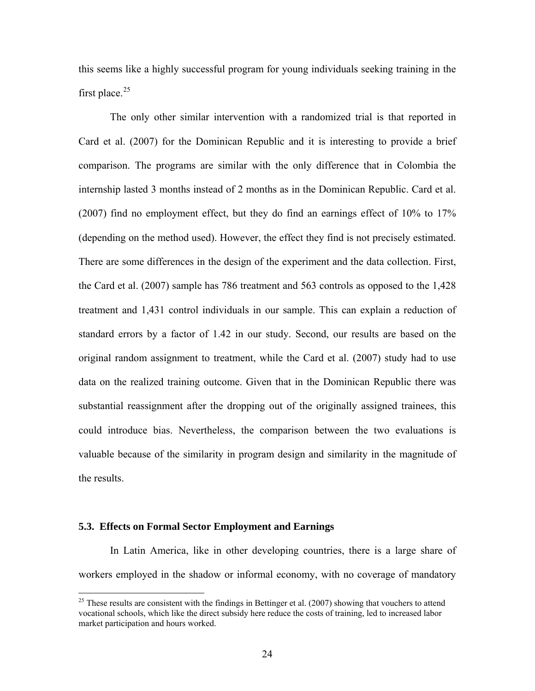this seems like a highly successful program for young individuals seeking training in the first place.<sup>[25](#page-23-0)</sup>

The only other similar intervention with a randomized trial is that reported in Card et al. (2007) for the Dominican Republic and it is interesting to provide a brief comparison. The programs are similar with the only difference that in Colombia the internship lasted 3 months instead of 2 months as in the Dominican Republic. Card et al. (2007) find no employment effect, but they do find an earnings effect of 10% to 17% (depending on the method used). However, the effect they find is not precisely estimated. There are some differences in the design of the experiment and the data collection. First, the Card et al. (2007) sample has 786 treatment and 563 controls as opposed to the 1,428 treatment and 1,431 control individuals in our sample. This can explain a reduction of standard errors by a factor of 1.42 in our study. Second, our results are based on the original random assignment to treatment, while the Card et al. (2007) study had to use data on the realized training outcome. Given that in the Dominican Republic there was substantial reassignment after the dropping out of the originally assigned trainees, this could introduce bias. Nevertheless, the comparison between the two evaluations is valuable because of the similarity in program design and similarity in the magnitude of the results.

#### **5.3. Effects on Formal Sector Employment and Earnings**

 $\overline{a}$ 

In Latin America, like in other developing countries, there is a large share of workers employed in the shadow or informal economy, with no coverage of mandatory

<span id="page-23-0"></span> $25$  These results are consistent with the findings in Bettinger et al. (2007) showing that vouchers to attend vocational schools, which like the direct subsidy here reduce the costs of training, led to increased labor market participation and hours worked.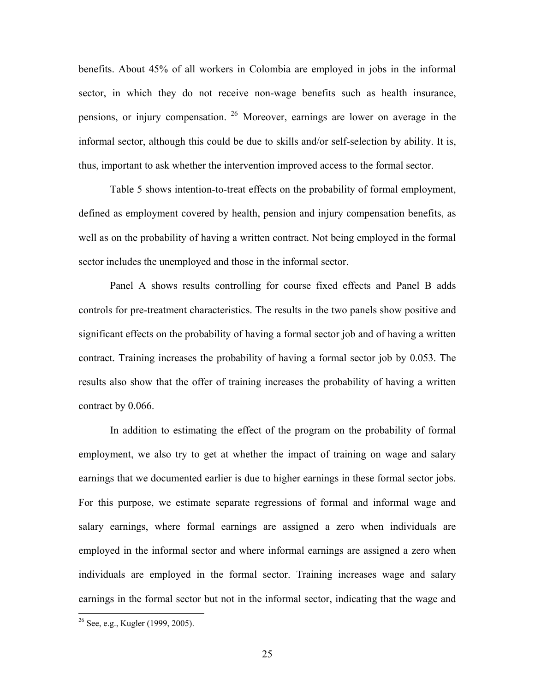benefits. About 45% of all workers in Colombia are employed in jobs in the informal sector, in which they do not receive non-wage benefits such as health insurance, pensions, or injury compensation. [26](#page-24-0) Moreover, earnings are lower on average in the informal sector, although this could be due to skills and/or self-selection by ability. It is, thus, important to ask whether the intervention improved access to the formal sector.

Table 5 shows intention-to-treat effects on the probability of formal employment, defined as employment covered by health, pension and injury compensation benefits, as well as on the probability of having a written contract. Not being employed in the formal sector includes the unemployed and those in the informal sector.

Panel A shows results controlling for course fixed effects and Panel B adds controls for pre-treatment characteristics. The results in the two panels show positive and significant effects on the probability of having a formal sector job and of having a written contract. Training increases the probability of having a formal sector job by 0.053. The results also show that the offer of training increases the probability of having a written contract by 0.066.

In addition to estimating the effect of the program on the probability of formal employment, we also try to get at whether the impact of training on wage and salary earnings that we documented earlier is due to higher earnings in these formal sector jobs. For this purpose, we estimate separate regressions of formal and informal wage and salary earnings, where formal earnings are assigned a zero when individuals are employed in the informal sector and where informal earnings are assigned a zero when individuals are employed in the formal sector. Training increases wage and salary earnings in the formal sector but not in the informal sector, indicating that the wage and

<span id="page-24-0"></span> $26$  See, e.g., Kugler (1999, 2005).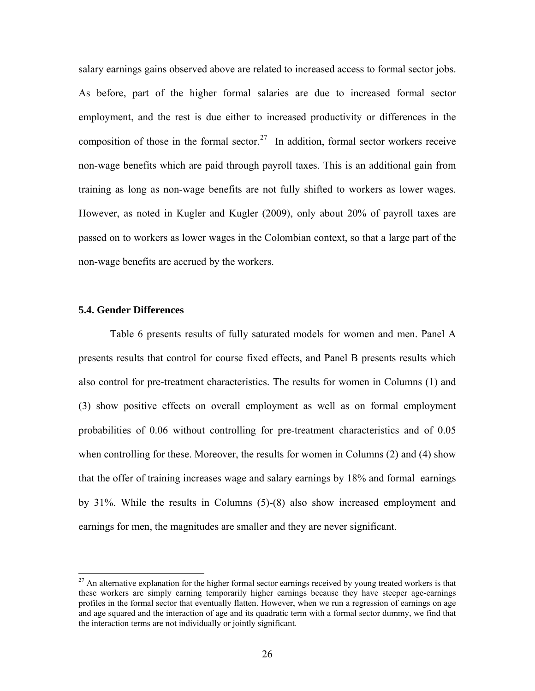salary earnings gains observed above are related to increased access to formal sector jobs. As before, part of the higher formal salaries are due to increased formal sector employment, and the rest is due either to increased productivity or differences in the composition of those in the formal sector.<sup>[27](#page-25-0)</sup> In addition, formal sector workers receive non-wage benefits which are paid through payroll taxes. This is an additional gain from training as long as non-wage benefits are not fully shifted to workers as lower wages. However, as noted in Kugler and Kugler (2009), only about 20% of payroll taxes are passed on to workers as lower wages in the Colombian context, so that a large part of the non-wage benefits are accrued by the workers.

#### **5.4. Gender Differences**

 $\overline{a}$ 

Table 6 presents results of fully saturated models for women and men. Panel A presents results that control for course fixed effects, and Panel B presents results which also control for pre-treatment characteristics. The results for women in Columns (1) and (3) show positive effects on overall employment as well as on formal employment probabilities of 0.06 without controlling for pre-treatment characteristics and of 0.05 when controlling for these. Moreover, the results for women in Columns (2) and (4) show that the offer of training increases wage and salary earnings by 18% and formal earnings by 31%. While the results in Columns (5)-(8) also show increased employment and earnings for men, the magnitudes are smaller and they are never significant.

<span id="page-25-0"></span> $27$  An alternative explanation for the higher formal sector earnings received by young treated workers is that these workers are simply earning temporarily higher earnings because they have steeper age-earnings profiles in the formal sector that eventually flatten. However, when we run a regression of earnings on age and age squared and the interaction of age and its quadratic term with a formal sector dummy, we find that the interaction terms are not individually or jointly significant.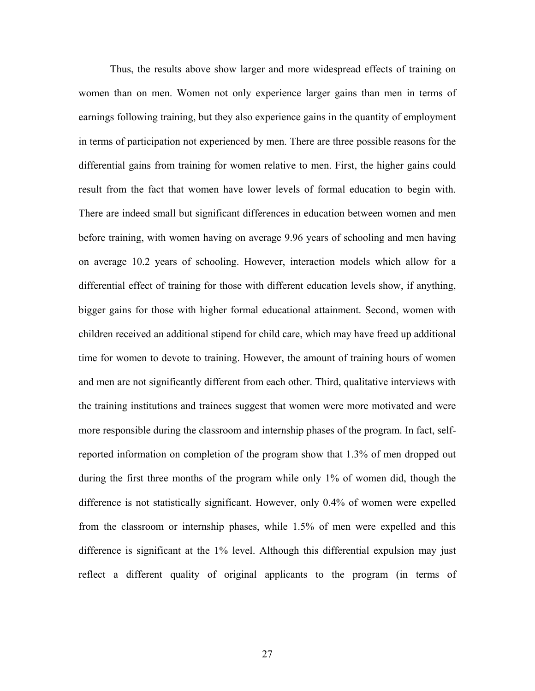Thus, the results above show larger and more widespread effects of training on women than on men. Women not only experience larger gains than men in terms of earnings following training, but they also experience gains in the quantity of employment in terms of participation not experienced by men. There are three possible reasons for the differential gains from training for women relative to men. First, the higher gains could result from the fact that women have lower levels of formal education to begin with. There are indeed small but significant differences in education between women and men before training, with women having on average 9.96 years of schooling and men having on average 10.2 years of schooling. However, interaction models which allow for a differential effect of training for those with different education levels show, if anything, bigger gains for those with higher formal educational attainment. Second, women with children received an additional stipend for child care, which may have freed up additional time for women to devote to training. However, the amount of training hours of women and men are not significantly different from each other. Third, qualitative interviews with the training institutions and trainees suggest that women were more motivated and were more responsible during the classroom and internship phases of the program. In fact, selfreported information on completion of the program show that 1.3% of men dropped out during the first three months of the program while only 1% of women did, though the difference is not statistically significant. However, only 0.4% of women were expelled from the classroom or internship phases, while 1.5% of men were expelled and this difference is significant at the 1% level. Although this differential expulsion may just reflect a different quality of original applicants to the program (in terms of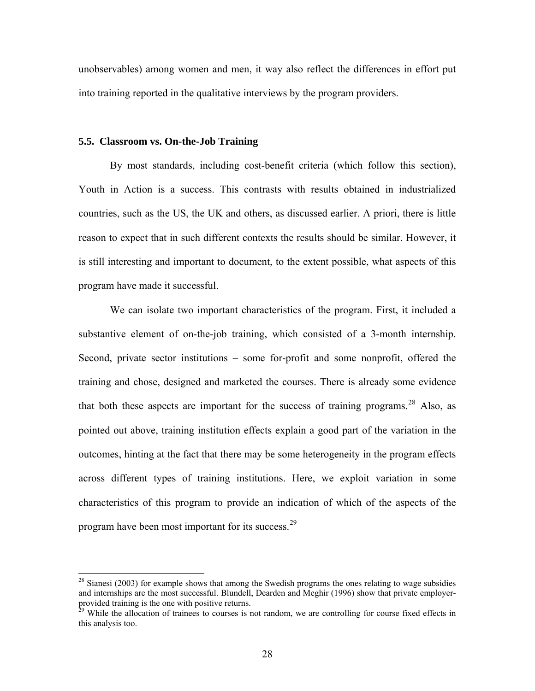unobservables) among women and men, it way also reflect the differences in effort put into training reported in the qualitative interviews by the program providers.

#### **5.5. Classroom vs. On-the-Job Training**

 $\overline{a}$ 

By most standards, including cost-benefit criteria (which follow this section), Youth in Action is a success. This contrasts with results obtained in industrialized countries, such as the US, the UK and others, as discussed earlier. A priori, there is little reason to expect that in such different contexts the results should be similar. However, it is still interesting and important to document, to the extent possible, what aspects of this program have made it successful.

We can isolate two important characteristics of the program. First, it included a substantive element of on-the-job training, which consisted of a 3-month internship. Second, private sector institutions – some for-profit and some nonprofit, offered the training and chose, designed and marketed the courses. There is already some evidence that both these aspects are important for the success of training programs.<sup>[28](#page-27-0)</sup> Also, as pointed out above, training institution effects explain a good part of the variation in the outcomes, hinting at the fact that there may be some heterogeneity in the program effects across different types of training institutions. Here, we exploit variation in some characteristics of this program to provide an indication of which of the aspects of the program have been most important for its success.[29](#page-27-1)

<span id="page-27-0"></span> $^{28}$  Sianesi (2003) for example shows that among the Swedish programs the ones relating to wage subsidies and internships are the most successful. Blundell, Dearden and Meghir (1996) show that private employerprovided training is the one with positive returns.

<span id="page-27-1"></span><sup>&</sup>lt;sup>29</sup> While the allocation of trainees to courses is not random, we are controlling for course fixed effects in this analysis too.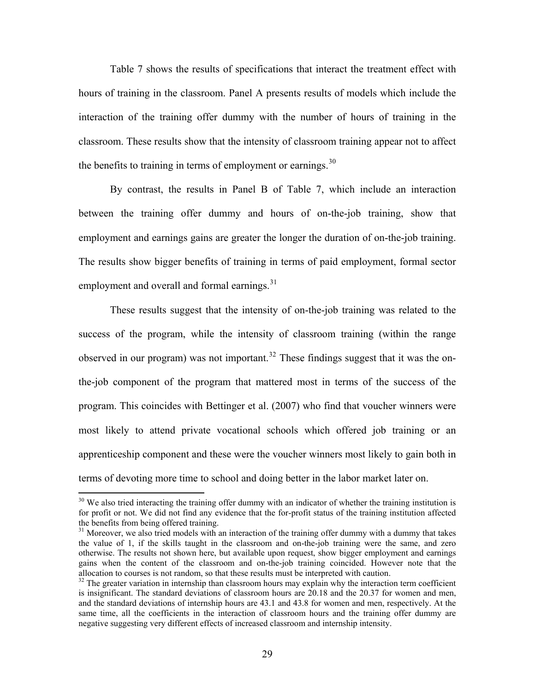Table 7 shows the results of specifications that interact the treatment effect with hours of training in the classroom. Panel A presents results of models which include the interaction of the training offer dummy with the number of hours of training in the classroom. These results show that the intensity of classroom training appear not to affect the benefits to training in terms of employment or earnings.  $30$ 

By contrast, the results in Panel B of Table 7, which include an interaction between the training offer dummy and hours of on-the-job training, show that employment and earnings gains are greater the longer the duration of on-the-job training. The results show bigger benefits of training in terms of paid employment, formal sector employment and overall and formal earnings.<sup>[31](#page-28-1)</sup>

These results suggest that the intensity of on-the-job training was related to the success of the program, while the intensity of classroom training (within the range observed in our program) was not important.<sup>[32](#page-28-2)</sup> These findings suggest that it was the onthe-job component of the program that mattered most in terms of the success of the program. This coincides with Bettinger et al. (2007) who find that voucher winners were most likely to attend private vocational schools which offered job training or an apprenticeship component and these were the voucher winners most likely to gain both in terms of devoting more time to school and doing better in the labor market later on.

<span id="page-28-0"></span> $30$  We also tried interacting the training offer dummy with an indicator of whether the training institution is for profit or not. We did not find any evidence that the for-profit status of the training institution affected the benefits from being offered training.

<span id="page-28-1"></span><sup>&</sup>lt;sup>31</sup> Moreover, we also tried models with an interaction of the training offer dummy with a dummy that takes the value of 1, if the skills taught in the classroom and on-the-job training were the same, and zero otherwise. The results not shown here, but available upon request, show bigger employment and earnings gains when the content of the classroom and on-the-job training coincided. However note that the allocation to courses is not random, so that these results must be interpreted with caution.

<span id="page-28-2"></span><sup>&</sup>lt;sup>32</sup> The greater variation in internship than classroom hours may explain why the interaction term coefficient is insignificant. The standard deviations of classroom hours are 20.18 and the 20.37 for women and men, and the standard deviations of internship hours are 43.1 and 43.8 for women and men, respectively. At the same time, all the coefficients in the interaction of classroom hours and the training offer dummy are negative suggesting very different effects of increased classroom and internship intensity.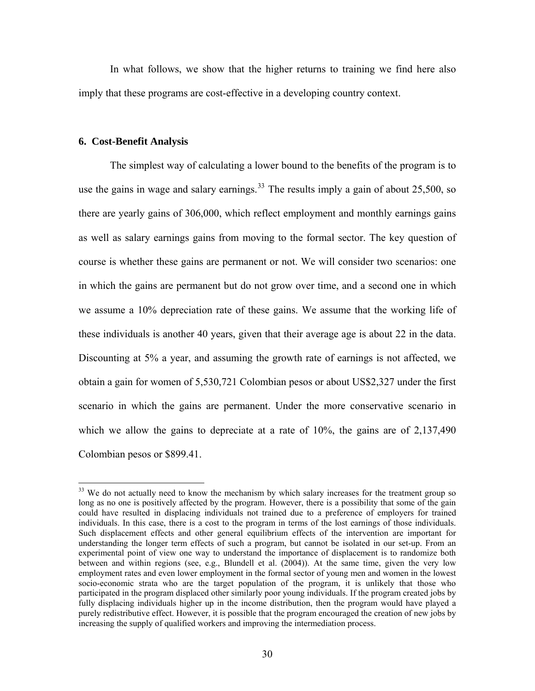In what follows, we show that the higher returns to training we find here also imply that these programs are cost-effective in a developing country context.

#### **6. Cost-Benefit Analysis**

 $\overline{a}$ 

The simplest way of calculating a lower bound to the benefits of the program is to use the gains in wage and salary earnings.<sup>[33](#page-29-0)</sup> The results imply a gain of about  $25,500$ , so there are yearly gains of 306,000, which reflect employment and monthly earnings gains as well as salary earnings gains from moving to the formal sector. The key question of course is whether these gains are permanent or not. We will consider two scenarios: one in which the gains are permanent but do not grow over time, and a second one in which we assume a 10% depreciation rate of these gains. We assume that the working life of these individuals is another 40 years, given that their average age is about 22 in the data. Discounting at 5% a year, and assuming the growth rate of earnings is not affected, we obtain a gain for women of 5,530,721 Colombian pesos or about US\$2,327 under the first scenario in which the gains are permanent. Under the more conservative scenario in which we allow the gains to depreciate at a rate of 10%, the gains are of 2,137,490 Colombian pesos or \$899.41.

<span id="page-29-0"></span><sup>&</sup>lt;sup>33</sup> We do not actually need to know the mechanism by which salary increases for the treatment group so long as no one is positively affected by the program. However, there is a possibility that some of the gain could have resulted in displacing individuals not trained due to a preference of employers for trained individuals. In this case, there is a cost to the program in terms of the lost earnings of those individuals. Such displacement effects and other general equilibrium effects of the intervention are important for understanding the longer term effects of such a program, but cannot be isolated in our set-up. From an experimental point of view one way to understand the importance of displacement is to randomize both between and within regions (see, e.g., Blundell et al. (2004)). At the same time, given the very low employment rates and even lower employment in the formal sector of young men and women in the lowest socio-economic strata who are the target population of the program, it is unlikely that those who participated in the program displaced other similarly poor young individuals. If the program created jobs by fully displacing individuals higher up in the income distribution, then the program would have played a purely redistributive effect. However, it is possible that the program encouraged the creation of new jobs by increasing the supply of qualified workers and improving the intermediation process.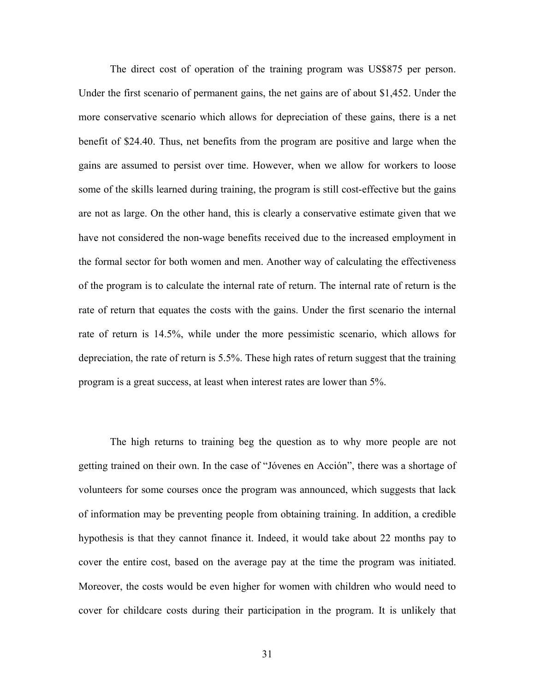The direct cost of operation of the training program was US\$875 per person. Under the first scenario of permanent gains, the net gains are of about \$1,452. Under the more conservative scenario which allows for depreciation of these gains, there is a net benefit of \$24.40. Thus, net benefits from the program are positive and large when the gains are assumed to persist over time. However, when we allow for workers to loose some of the skills learned during training, the program is still cost-effective but the gains are not as large. On the other hand, this is clearly a conservative estimate given that we have not considered the non-wage benefits received due to the increased employment in the formal sector for both women and men. Another way of calculating the effectiveness of the program is to calculate the internal rate of return. The internal rate of return is the rate of return that equates the costs with the gains. Under the first scenario the internal rate of return is 14.5%, while under the more pessimistic scenario, which allows for depreciation, the rate of return is 5.5%. These high rates of return suggest that the training program is a great success, at least when interest rates are lower than 5%.

The high returns to training beg the question as to why more people are not getting trained on their own. In the case of "Jóvenes en Acción", there was a shortage of volunteers for some courses once the program was announced, which suggests that lack of information may be preventing people from obtaining training. In addition, a credible hypothesis is that they cannot finance it. Indeed, it would take about 22 months pay to cover the entire cost, based on the average pay at the time the program was initiated. Moreover, the costs would be even higher for women with children who would need to cover for childcare costs during their participation in the program. It is unlikely that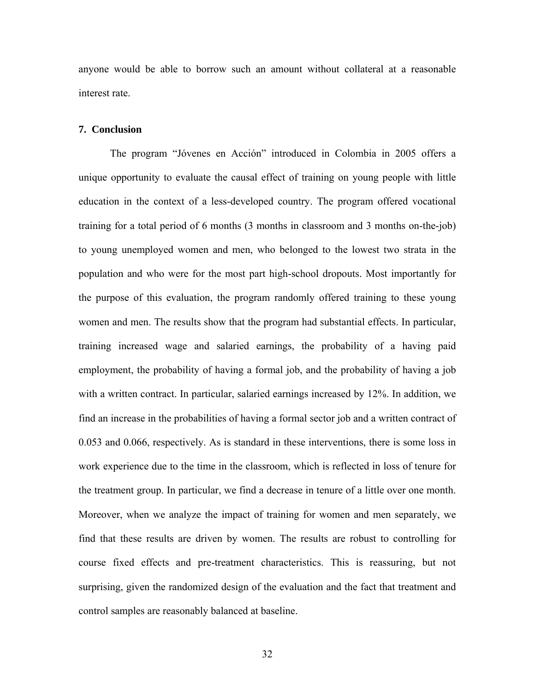anyone would be able to borrow such an amount without collateral at a reasonable interest rate.

#### **7. Conclusion**

The program "Jóvenes en Acción" introduced in Colombia in 2005 offers a unique opportunity to evaluate the causal effect of training on young people with little education in the context of a less-developed country. The program offered vocational training for a total period of 6 months (3 months in classroom and 3 months on-the-job) to young unemployed women and men, who belonged to the lowest two strata in the population and who were for the most part high-school dropouts. Most importantly for the purpose of this evaluation, the program randomly offered training to these young women and men. The results show that the program had substantial effects. In particular, training increased wage and salaried earnings, the probability of a having paid employment, the probability of having a formal job, and the probability of having a job with a written contract. In particular, salaried earnings increased by 12%. In addition, we find an increase in the probabilities of having a formal sector job and a written contract of 0.053 and 0.066, respectively. As is standard in these interventions, there is some loss in work experience due to the time in the classroom, which is reflected in loss of tenure for the treatment group. In particular, we find a decrease in tenure of a little over one month. Moreover, when we analyze the impact of training for women and men separately, we find that these results are driven by women. The results are robust to controlling for course fixed effects and pre-treatment characteristics. This is reassuring, but not surprising, given the randomized design of the evaluation and the fact that treatment and control samples are reasonably balanced at baseline.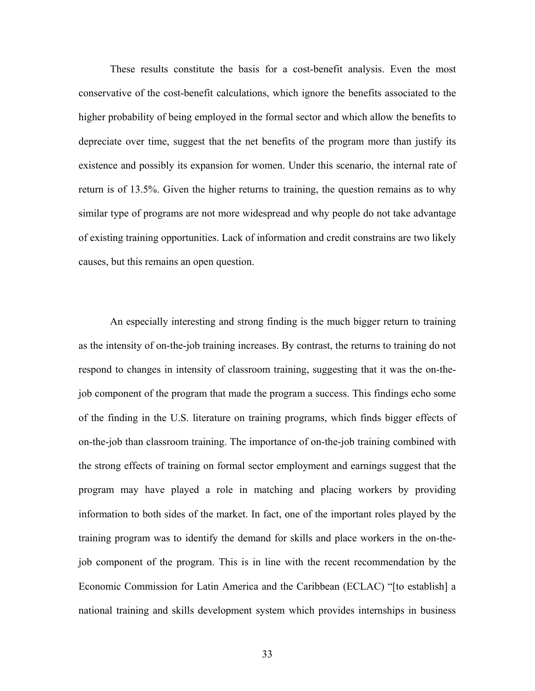These results constitute the basis for a cost-benefit analysis. Even the most conservative of the cost-benefit calculations, which ignore the benefits associated to the higher probability of being employed in the formal sector and which allow the benefits to depreciate over time, suggest that the net benefits of the program more than justify its existence and possibly its expansion for women. Under this scenario, the internal rate of return is of 13.5%. Given the higher returns to training, the question remains as to why similar type of programs are not more widespread and why people do not take advantage of existing training opportunities. Lack of information and credit constrains are two likely causes, but this remains an open question.

An especially interesting and strong finding is the much bigger return to training as the intensity of on-the-job training increases. By contrast, the returns to training do not respond to changes in intensity of classroom training, suggesting that it was the on-thejob component of the program that made the program a success. This findings echo some of the finding in the U.S. literature on training programs, which finds bigger effects of on-the-job than classroom training. The importance of on-the-job training combined with the strong effects of training on formal sector employment and earnings suggest that the program may have played a role in matching and placing workers by providing information to both sides of the market. In fact, one of the important roles played by the training program was to identify the demand for skills and place workers in the on-thejob component of the program. This is in line with the recent recommendation by the Economic Commission for Latin America and the Caribbean (ECLAC) "[to establish] a national training and skills development system which provides internships in business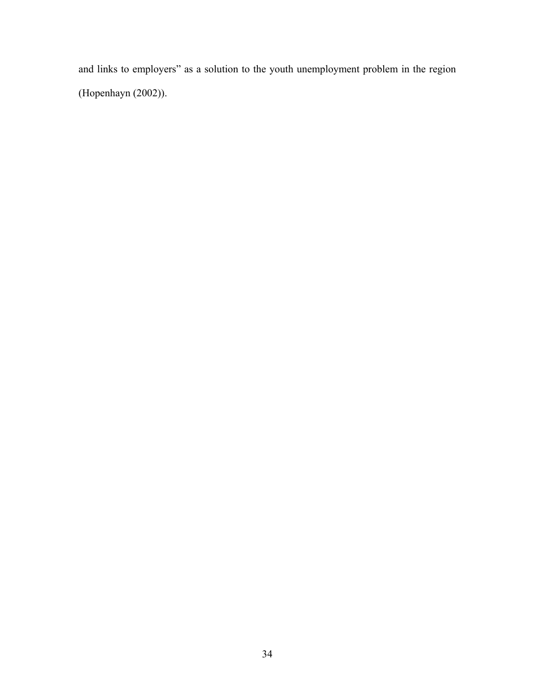and links to employers" as a solution to the youth unemployment problem in the region (Hopenhayn (2002)).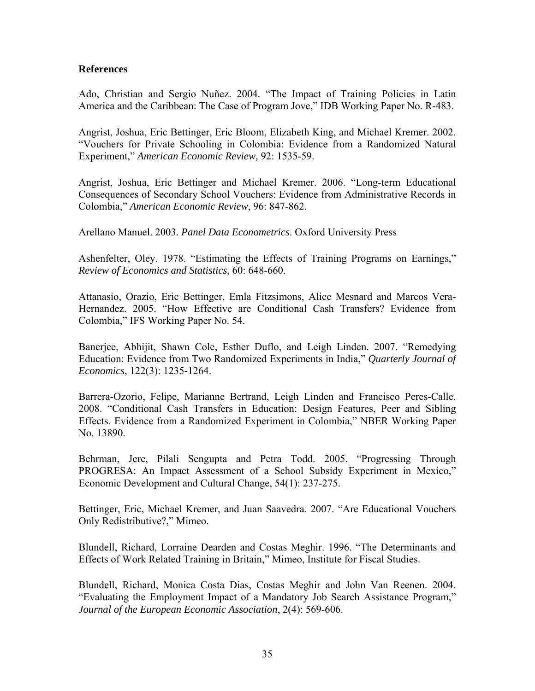## **References**

Ado, Christian and Sergio Nuñez. 2004. "The Impact of Training Policies in Latin America and the Caribbean: The Case of Program Jove," IDB Working Paper No. R-483.

Angrist, Joshua, Eric Bettinger, Eric Bloom, Elizabeth King, and Michael Kremer. 2002. "Vouchers for Private Schooling in Colombia: Evidence from a Randomized Natural Experiment," *American Economic Review,* 92: 1535-59.

Angrist, Joshua, Eric Bettinger and Michael Kremer. 2006. "Long-term Educational Consequences of Secondary School Vouchers: Evidence from Administrative Records in Colombia," *American Economic Review*, 96: 847-862.

Arellano Manuel. 2003. *Panel Data Econometrics*. Oxford University Press

Ashenfelter, Oley. 1978. "Estimating the Effects of Training Programs on Earnings," *Review of Economics and Statistics*, 60: 648-660.

Attanasio, Orazio, Eric Bettinger, Emla Fitzsimons, Alice Mesnard and Marcos Vera-Hernandez. 2005. "How Effective are Conditional Cash Transfers? Evidence from Colombia," IFS Working Paper No. 54.

Banerjee, Abhijit, Shawn Cole, Esther Duflo, and Leigh Linden. 2007. "Remedying Education: Evidence from Two Randomized Experiments in India," *Quarterly Journal of Economics*, 122(3): 1235-1264.

Barrera-Ozorio, Felipe, Marianne Bertrand, Leigh Linden and Francisco Peres-Calle. 2008. "Conditional Cash Transfers in Education: Design Features, Peer and Sibling Effects. Evidence from a Randomized Experiment in Colombia," NBER Working Paper No. 13890.

Behrman, Jere, Pilali Sengupta and Petra Todd. 2005. "Progressing Through PROGRESA: An Impact Assessment of a School Subsidy Experiment in Mexico," Economic Development and Cultural Change, 54(1): 237-275.

Bettinger, Eric, Michael Kremer, and Juan Saavedra. 2007. "Are Educational Vouchers Only Redistributive?," Mimeo.

Blundell, Richard, Lorraine Dearden and Costas Meghir. 1996. "The Determinants and Effects of Work Related Training in Britain," Mimeo, Institute for Fiscal Studies.

Blundell, Richard, Monica Costa Dias, Costas Meghir and John Van Reenen. 2004. "Evaluating the Employment Impact of a Mandatory Job Search Assistance Program," *Journal of the European Economic Association*, 2(4): 569-606.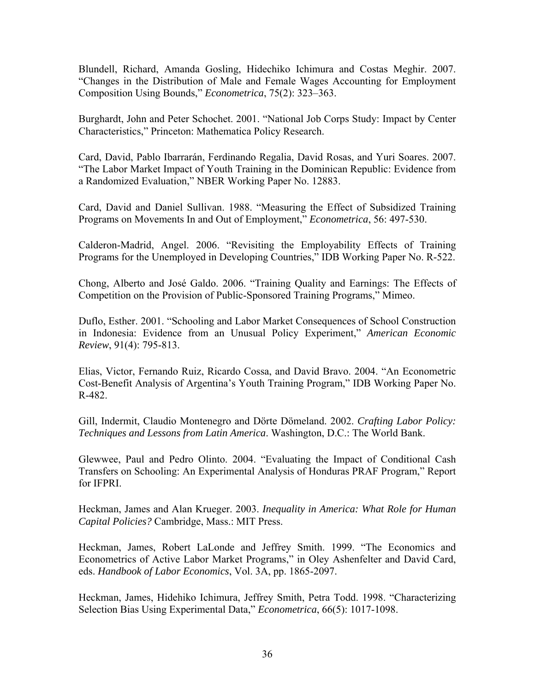Blundell, Richard, Amanda Gosling, Hidechiko Ichimura and Costas Meghir. 2007. "Changes in the Distribution of Male and Female Wages Accounting for Employment Composition Using Bounds," *Econometrica*, 75(2): 323–363.

Burghardt, John and Peter Schochet. 2001. "National Job Corps Study: Impact by Center Characteristics," Princeton: Mathematica Policy Research.

Card, David, Pablo Ibarrarán, Ferdinando Regalia, David Rosas, and Yuri Soares. 2007. "The Labor Market Impact of Youth Training in the Dominican Republic: Evidence from a Randomized Evaluation," NBER Working Paper No. 12883.

Card, David and Daniel Sullivan. 1988. "Measuring the Effect of Subsidized Training Programs on Movements In and Out of Employment," *Econometrica*, 56: 497-530.

Calderon-Madrid, Angel. 2006. "Revisiting the Employability Effects of Training Programs for the Unemployed in Developing Countries," IDB Working Paper No. R-522.

Chong, Alberto and José Galdo. 2006. "Training Quality and Earnings: The Effects of Competition on the Provision of Public-Sponsored Training Programs," Mimeo.

Duflo, Esther. 2001. "Schooling and Labor Market Consequences of School Construction in Indonesia: Evidence from an Unusual Policy Experiment," *American Economic Review*, 91(4): 795-813.

Elias, Victor, Fernando Ruiz, Ricardo Cossa, and David Bravo. 2004. "An Econometric Cost-Benefit Analysis of Argentina's Youth Training Program," IDB Working Paper No. R-482.

Gill, Indermit, Claudio Montenegro and Dörte Dömeland. 2002. *Crafting Labor Policy: Techniques and Lessons from Latin America*. Washington, D.C.: The World Bank.

Glewwee, Paul and Pedro Olinto. 2004. "Evaluating the Impact of Conditional Cash Transfers on Schooling: An Experimental Analysis of Honduras PRAF Program," Report for IFPRI.

Heckman, James and Alan Krueger. 2003. *Inequality in America: What Role for Human Capital Policies?* Cambridge, Mass.: MIT Press.

Heckman, James, Robert LaLonde and Jeffrey Smith. 1999. "The Economics and Econometrics of Active Labor Market Programs," in Oley Ashenfelter and David Card, eds. *Handbook of Labor Economics*, Vol. 3A, pp. 1865-2097.

Heckman, James, Hidehiko Ichimura, Jeffrey Smith, Petra Todd. 1998. "Characterizing Selection Bias Using Experimental Data," *Econometrica*, 66(5): 1017-1098.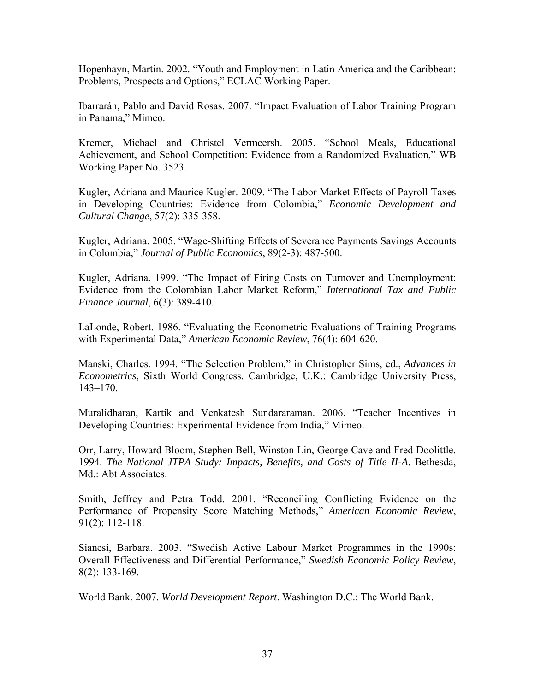Hopenhayn, Martin. 2002. "Youth and Employment in Latin America and the Caribbean: Problems, Prospects and Options," ECLAC Working Paper.

Ibarrarán, Pablo and David Rosas. 2007. "Impact Evaluation of Labor Training Program in Panama," Mimeo.

Kremer, Michael and Christel Vermeersh. 2005. "School Meals, Educational Achievement, and School Competition: Evidence from a Randomized Evaluation," WB Working Paper No. 3523.

Kugler, Adriana and Maurice Kugler. 2009. "The Labor Market Effects of Payroll Taxes in Developing Countries: Evidence from Colombia," *Economic Development and Cultural Change*, 57(2): 335-358.

Kugler, Adriana. 2005. "Wage-Shifting Effects of Severance Payments Savings Accounts in Colombia," *Journal of Public Economics*, 89(2-3): 487-500.

Kugler, Adriana. 1999. "The Impact of Firing Costs on Turnover and Unemployment: Evidence from the Colombian Labor Market Reform," *International Tax and Public Finance Journal*, 6(3): 389-410.

LaLonde, Robert. 1986. "Evaluating the Econometric Evaluations of Training Programs with Experimental Data," *American Economic Review*, 76(4): 604-620.

Manski, Charles. 1994. "The Selection Problem," in Christopher Sims, ed., *Advances in Econometrics*, Sixth World Congress. Cambridge, U.K.: Cambridge University Press, 143–170.

Muralidharan, Kartik and Venkatesh Sundararaman. 2006. "Teacher Incentives in Developing Countries: Experimental Evidence from India," Mimeo.

Orr, Larry, Howard Bloom, Stephen Bell, Winston Lin, George Cave and Fred Doolittle. 1994. *The National JTPA Study: Impacts, Benefits, and Costs of Title II-A*. Bethesda, Md.: Abt Associates.

Smith, Jeffrey and Petra Todd. 2001. "Reconciling Conflicting Evidence on the Performance of Propensity Score Matching Methods," *American Economic Review*, 91(2): 112-118.

Sianesi, Barbara. 2003. "[Swedish Active Labour Market Programmes in the 1990s:](http://www.ifs.org.uk/publications.php?publication_id=2977)  [Overall Effectiveness and Differential Performance,](http://www.ifs.org.uk/publications.php?publication_id=2977)" *[Swedish Economic Policy Review](http://www.ekradet.konj.se/sepr/)*, 8(2): 133-169.

World Bank. 2007. *World Development Report*. Washington D.C.: The World Bank.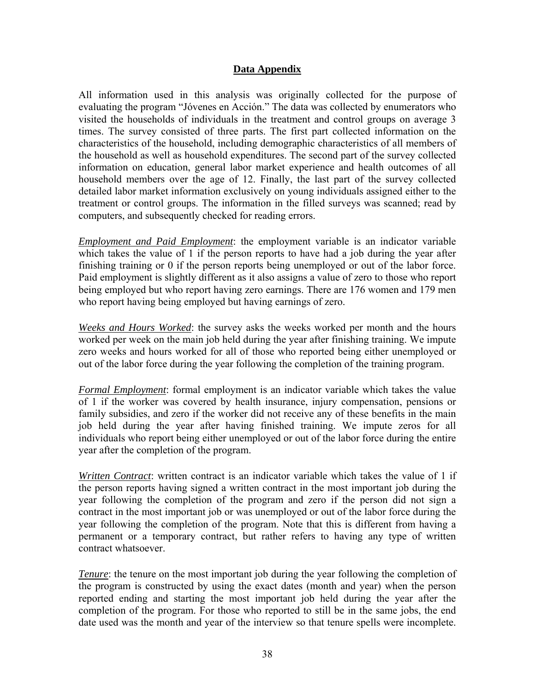## **Data Appendix**

All information used in this analysis was originally collected for the purpose of evaluating the program "Jóvenes en Acción." The data was collected by enumerators who visited the households of individuals in the treatment and control groups on average 3 times. The survey consisted of three parts. The first part collected information on the characteristics of the household, including demographic characteristics of all members of the household as well as household expenditures. The second part of the survey collected information on education, general labor market experience and health outcomes of all household members over the age of 12. Finally, the last part of the survey collected detailed labor market information exclusively on young individuals assigned either to the treatment or control groups. The information in the filled surveys was scanned; read by computers, and subsequently checked for reading errors.

*Employment and Paid Employment*: the employment variable is an indicator variable which takes the value of 1 if the person reports to have had a job during the year after finishing training or 0 if the person reports being unemployed or out of the labor force. Paid employment is slightly different as it also assigns a value of zero to those who report being employed but who report having zero earnings. There are 176 women and 179 men who report having being employed but having earnings of zero.

*Weeks and Hours Worked*: the survey asks the weeks worked per month and the hours worked per week on the main job held during the year after finishing training. We impute zero weeks and hours worked for all of those who reported being either unemployed or out of the labor force during the year following the completion of the training program.

*Formal Employment*: formal employment is an indicator variable which takes the value of 1 if the worker was covered by health insurance, injury compensation, pensions or family subsidies, and zero if the worker did not receive any of these benefits in the main job held during the year after having finished training. We impute zeros for all individuals who report being either unemployed or out of the labor force during the entire year after the completion of the program.

*Written Contract*: written contract is an indicator variable which takes the value of 1 if the person reports having signed a written contract in the most important job during the year following the completion of the program and zero if the person did not sign a contract in the most important job or was unemployed or out of the labor force during the year following the completion of the program. Note that this is different from having a permanent or a temporary contract, but rather refers to having any type of written contract whatsoever.

*Tenure*: the tenure on the most important job during the year following the completion of the program is constructed by using the exact dates (month and year) when the person reported ending and starting the most important job held during the year after the completion of the program. For those who reported to still be in the same jobs, the end date used was the month and year of the interview so that tenure spells were incomplete.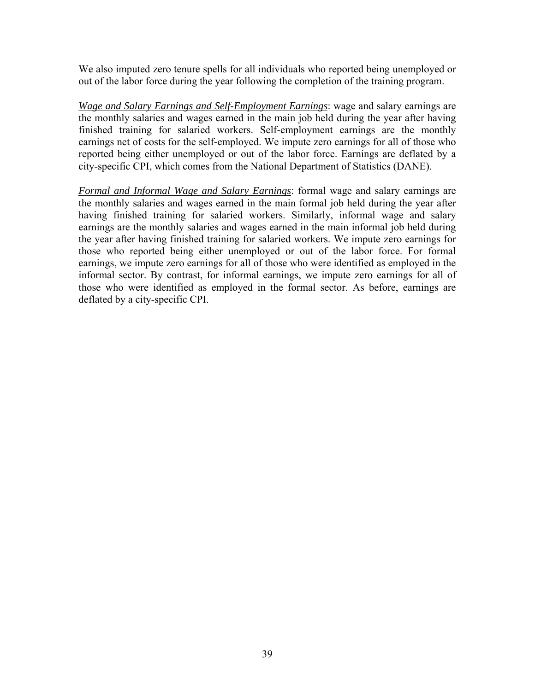We also imputed zero tenure spells for all individuals who reported being unemployed or out of the labor force during the year following the completion of the training program.

*Wage and Salary Earnings and Self-Employment Earnings*: wage and salary earnings are the monthly salaries and wages earned in the main job held during the year after having finished training for salaried workers. Self-employment earnings are the monthly earnings net of costs for the self-employed. We impute zero earnings for all of those who reported being either unemployed or out of the labor force. Earnings are deflated by a city-specific CPI, which comes from the National Department of Statistics (DANE).

*Formal and Informal Wage and Salary Earnings*: formal wage and salary earnings are the monthly salaries and wages earned in the main formal job held during the year after having finished training for salaried workers. Similarly, informal wage and salary earnings are the monthly salaries and wages earned in the main informal job held during the year after having finished training for salaried workers. We impute zero earnings for those who reported being either unemployed or out of the labor force. For formal earnings, we impute zero earnings for all of those who were identified as employed in the informal sector. By contrast, for informal earnings, we impute zero earnings for all of those who were identified as employed in the formal sector. As before, earnings are deflated by a city-specific CPI.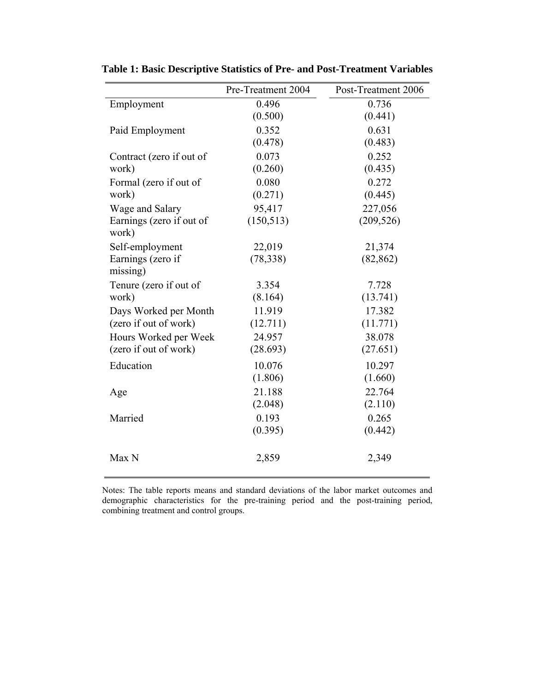|                                   | Pre-Treatment 2004 | Post-Treatment 2006 |
|-----------------------------------|--------------------|---------------------|
| Employment                        | 0.496              | 0.736               |
|                                   | (0.500)            | (0.441)             |
| Paid Employment                   | 0.352              | 0.631               |
|                                   | (0.478)            | (0.483)             |
| Contract (zero if out of          | 0.073              | 0.252               |
| work)                             | (0.260)            | (0.435)             |
| Formal (zero if out of            | 0.080              | 0.272               |
| work)                             | (0.271)            | (0.445)             |
| Wage and Salary                   | 95,417             | 227,056             |
| Earnings (zero if out of<br>work) | (150, 513)         | (209, 526)          |
| Self-employment                   | 22,019             | 21,374              |
| Earnings (zero if<br>missing)     | (78, 338)          | (82, 862)           |
| Tenure (zero if out of            | 3.354              | 7.728               |
| work)                             | (8.164)            | (13.741)            |
| Days Worked per Month             | 11.919             | 17.382              |
| (zero if out of work)             | (12.711)           | (11.771)            |
| Hours Worked per Week             | 24.957             | 38.078              |
| (zero if out of work)             | (28.693)           | (27.651)            |
| Education                         | 10.076             | 10.297              |
|                                   | (1.806)            | (1.660)             |
| Age                               | 21.188             | 22.764              |
|                                   | (2.048)            | (2.110)             |
| Married                           | 0.193              | 0.265               |
|                                   | (0.395)            | (0.442)             |
| Max N                             | 2,859              | 2,349               |

**Table 1: Basic Descriptive Statistics of Pre- and Post-Treatment Variables** 

Notes: The table reports means and standard deviations of the labor market outcomes and demographic characteristics for the pre-training period and the post-training period, combining treatment and control groups.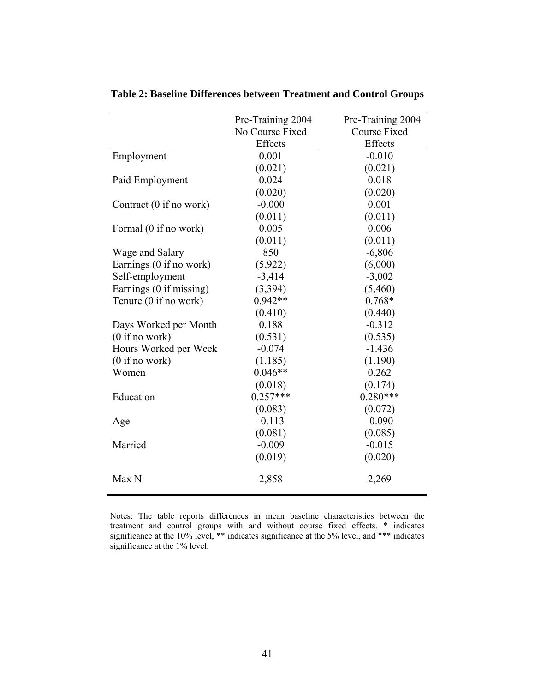|                         | Pre-Training 2004 | Pre-Training 2004   |
|-------------------------|-------------------|---------------------|
|                         | No Course Fixed   | <b>Course Fixed</b> |
|                         | Effects           | Effects             |
| Employment              | 0.001             | $-0.010$            |
|                         | (0.021)           | (0.021)             |
| Paid Employment         | 0.024             | 0.018               |
|                         | (0.020)           | (0.020)             |
| Contract (0 if no work) | $-0.000$          | 0.001               |
|                         | (0.011)           | (0.011)             |
| Formal (0 if no work)   | 0.005             | 0.006               |
|                         | (0.011)           | (0.011)             |
| Wage and Salary         | 850               | $-6,806$            |
| Earnings (0 if no work) | (5,922)           | (6,000)             |
| Self-employment         | $-3,414$          | $-3,002$            |
| Earnings (0 if missing) | (3, 394)          | (5,460)             |
| Tenure (0 if no work)   | $0.942**$         | $0.768*$            |
|                         | (0.410)           | (0.440)             |
| Days Worked per Month   | 0.188             | $-0.312$            |
| (0 if no work)          | (0.531)           | (0.535)             |
| Hours Worked per Week   | $-0.074$          | $-1.436$            |
| (0 if no work)          | (1.185)           | (1.190)             |
| Women                   | $0.046**$         | 0.262               |
|                         | (0.018)           | (0.174)             |
| Education               | $0.257***$        | $0.280***$          |
|                         | (0.083)           | (0.072)             |
| Age                     | $-0.113$          | $-0.090$            |
|                         | (0.081)           | (0.085)             |
| Married                 | $-0.009$          | $-0.015$            |
|                         | (0.019)           | (0.020)             |
| Max N                   | 2,858             | 2,269               |

**Table 2: Baseline Differences between Treatment and Control Groups** 

Notes: The table reports differences in mean baseline characteristics between the treatment and control groups with and without course fixed effects. \* indicates significance at the 10% level, \*\* indicates significance at the 5% level, and \*\*\* indicates significance at the 1% level.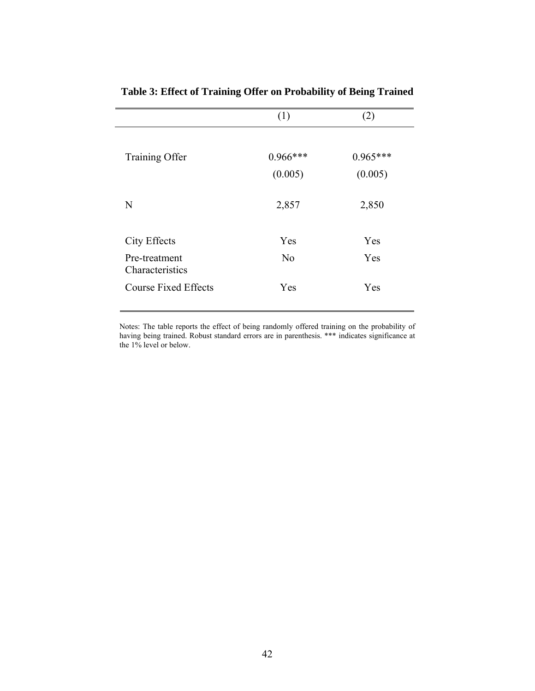|                                  | (1)            | (2)        |
|----------------------------------|----------------|------------|
| Training Offer                   | $0.966***$     | $0.965***$ |
|                                  | (0.005)        | (0.005)    |
| N                                | 2,857          | 2,850      |
| <b>City Effects</b>              | Yes            | Yes        |
| Pre-treatment<br>Characteristics | N <sub>0</sub> | Yes        |
| <b>Course Fixed Effects</b>      | Yes            | Yes        |

**Table 3: Effect of Training Offer on Probability of Being Trained** 

Notes: The table reports the effect of being randomly offered training on the probability of having being trained. Robust standard errors are in parenthesis. \*\*\* indicates significance at the 1% level or below.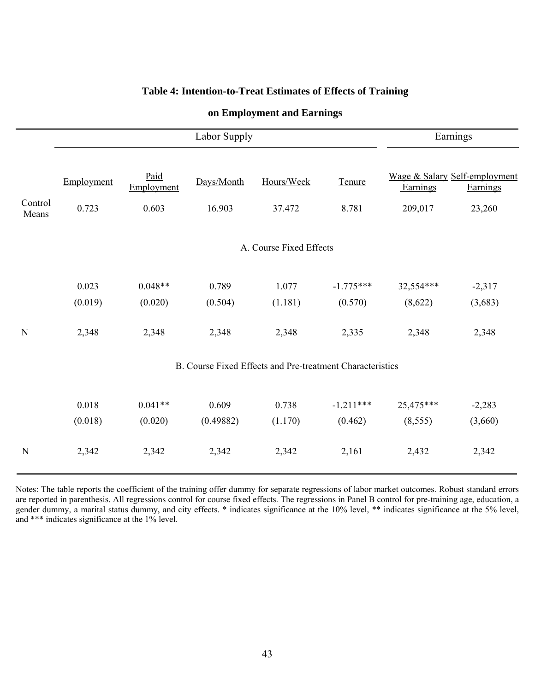## **Table 4: Intention-to-Treat Estimates of Effects of Training**

|                  |            |                         | Earnings   |                                                           |             |           |                                           |  |  |
|------------------|------------|-------------------------|------------|-----------------------------------------------------------|-------------|-----------|-------------------------------------------|--|--|
|                  | Employment | Paid<br>Employment      | Days/Month | Hours/Week                                                | Tenure      | Earnings  | Wage & Salary Self-employment<br>Earnings |  |  |
| Control<br>Means | 0.723      | 0.603                   | 16.903     | 37.472                                                    | 8.781       | 209,017   | 23,260                                    |  |  |
|                  |            | A. Course Fixed Effects |            |                                                           |             |           |                                           |  |  |
|                  | 0.023      | $0.048**$               | 0.789      | 1.077                                                     | $-1.775***$ | 32,554*** | $-2,317$                                  |  |  |
|                  | (0.019)    | (0.020)                 | (0.504)    | (1.181)                                                   | (0.570)     | (8,622)   | (3,683)                                   |  |  |
| Ń                | 2,348      | 2,348                   | 2,348      | 2,348                                                     | 2,335       | 2,348     | 2,348                                     |  |  |
|                  |            |                         |            | B. Course Fixed Effects and Pre-treatment Characteristics |             |           |                                           |  |  |
|                  | 0.018      | $0.041**$               | 0.609      | 0.738                                                     | $-1.211***$ | 25,475*** | $-2,283$                                  |  |  |
|                  | (0.018)    | (0.020)                 | (0.49882)  | (1.170)                                                   | (0.462)     | (8, 555)  | (3,660)                                   |  |  |
| N                | 2,342      | 2,342                   | 2,342      | 2,342                                                     | 2,161       | 2,432     | 2,342                                     |  |  |

# **on Employment and Earnings**

Notes: The table reports the coefficient of the training offer dummy for separate regressions of labor market outcomes. Robust standard errors are reported in parenthesis. All regressions control for course fixed effects. The regressions in Panel B control for pre-training age, education, a gender dummy, a marital status dummy, and city effects. \* indicates significance at the 10% level, \*\* indicates significance at the 5% level, and \*\*\* indicates significance at the 1% level.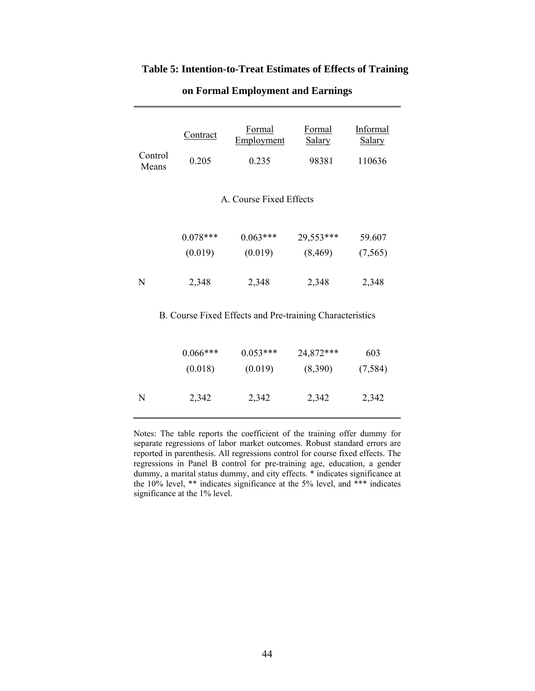# **Table 5: Intention-to-Treat Estimates of Effects of Training**

| Control<br>Means | Contract<br>0.205     | <b>Formal</b><br>Employment<br>0.235                     | Formal<br><b>Salary</b><br>98381 | Informal<br><b>Salary</b><br>110636 |
|------------------|-----------------------|----------------------------------------------------------|----------------------------------|-------------------------------------|
|                  |                       | A. Course Fixed Effects                                  |                                  |                                     |
|                  | $0.078***$<br>(0.019) | $0.063***$<br>(0.019)                                    | 29,553***<br>(8, 469)            | 59.607<br>(7, 565)                  |
| N                | 2,348                 | 2,348                                                    | 2,348                            | 2,348                               |
|                  |                       | B. Course Fixed Effects and Pre-training Characteristics |                                  |                                     |
|                  | $0.066***$<br>(0.018) | $0.053***$<br>(0.019)                                    | 24,872***<br>(8,390)             | 603<br>(7, 584)                     |
| N                | 2,342                 | 2,342                                                    | 2,342                            | 2,342                               |

## **on Formal Employment and Earnings**

Notes: The table reports the coefficient of the training offer dummy for separate regressions of labor market outcomes. Robust standard errors are reported in parenthesis. All regressions control for course fixed effects. The regressions in Panel B control for pre-training age, education, a gender dummy, a marital status dummy, and city effects. \* indicates significance at the 10% level, \*\* indicates significance at the 5% level, and \*\*\* indicates significance at the 1% level.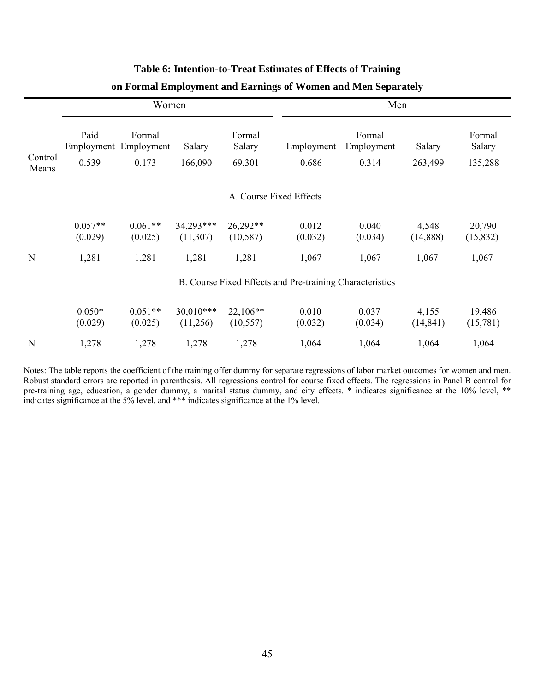|                  | Women                                                    |                               |                          |                                          | Men                 |                               |                          |                                    |
|------------------|----------------------------------------------------------|-------------------------------|--------------------------|------------------------------------------|---------------------|-------------------------------|--------------------------|------------------------------------|
| Control<br>Means | Paid<br>Employment<br>0.539                              | Formal<br>Employment<br>0.173 | <b>Salary</b><br>166,090 | <b>Formal</b><br><b>Salary</b><br>69,301 | Employment<br>0.686 | Formal<br>Employment<br>0.314 | <b>Salary</b><br>263,499 | Formal<br><b>Salary</b><br>135,288 |
|                  | A. Course Fixed Effects                                  |                               |                          |                                          |                     |                               |                          |                                    |
|                  | $0.057**$<br>(0.029)                                     | $0.061**$<br>(0.025)          | 34,293***<br>(11,307)    | 26,292**<br>(10, 587)                    | 0.012<br>(0.032)    | 0.040<br>(0.034)              | 4,548<br>(14,888)        | 20,790<br>(15, 832)                |
| N                | 1,281                                                    | 1,281                         | 1,281                    | 1,281                                    | 1,067               | 1,067                         | 1,067                    | 1,067                              |
|                  | B. Course Fixed Effects and Pre-training Characteristics |                               |                          |                                          |                     |                               |                          |                                    |
|                  | $0.050*$<br>(0.029)                                      | $0.051**$<br>(0.025)          | $30,010***$<br>(11,256)  | $22,106**$<br>(10, 557)                  | 0.010<br>(0.032)    | 0.037<br>(0.034)              | 4,155<br>(14, 841)       | 19,486<br>(15,781)                 |
| N                | 1,278                                                    | 1,278                         | 1,278                    | 1,278                                    | 1,064               | 1,064                         | 1,064                    | 1,064                              |
|                  |                                                          |                               |                          |                                          |                     |                               |                          |                                    |

## **Table 6: Intention-to-Treat Estimates of Effects of Training**

## **on Formal Employment and Earnings of Women and Men Separately**

Notes: The table reports the coefficient of the training offer dummy for separate regressions of labor market outcomes for women and men. Robust standard errors are reported in parenthesis. All regressions control for course fixed effects. The regressions in Panel B control for pre-training age, education, a gender dummy, a marital status dummy, and city effects. \* indicates significance at the 10% level, \*\* indicates significance at the 5% level, and \*\*\* indicates significance at the 1% level.